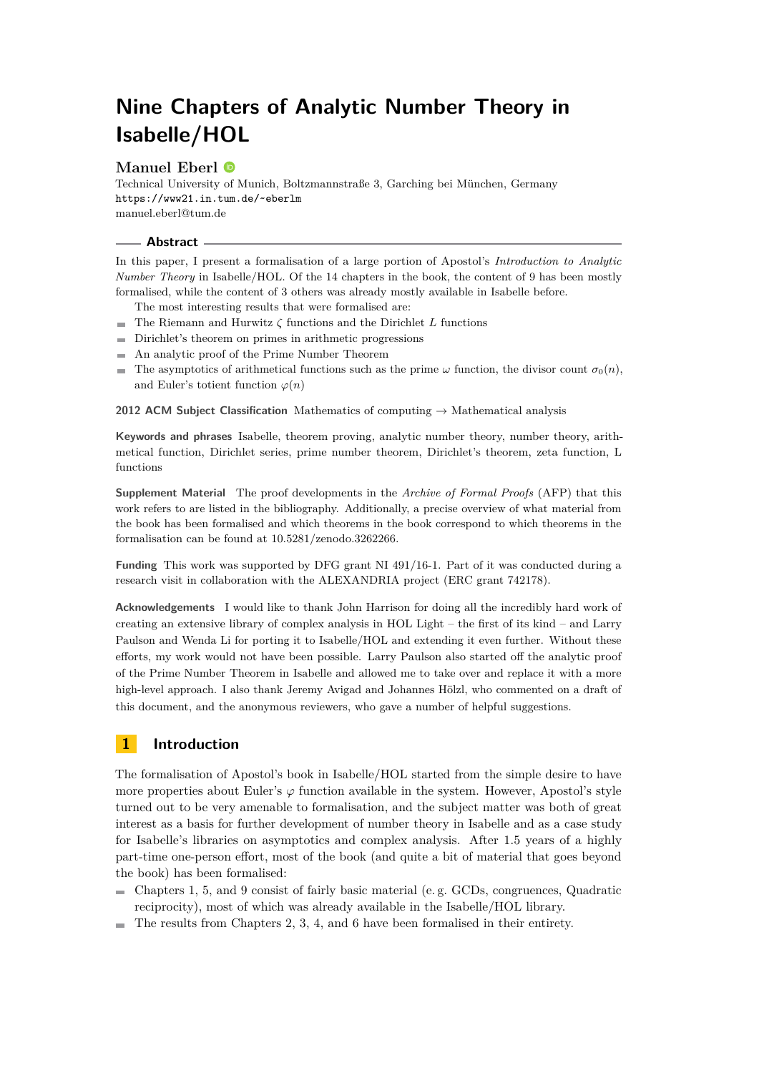# **Manuel Eberl**

Technical University of Munich, Boltzmannstraße 3, Garching bei München, Germany <https://www21.in.tum.de/~eberlm> [manuel.eberl@tum.de](mailto:manuel.eberl@tum.de)

#### **Abstract**

In this paper, I present a formalisation of a large portion of Apostol's *Introduction to Analytic Number Theory* in Isabelle/HOL. Of the 14 chapters in the book, the content of 9 has been mostly formalised, while the content of 3 others was already mostly available in Isabelle before.

- The most interesting results that were formalised are:
- $\blacksquare$  The Riemann and Hurwitz  $\zeta$  functions and the Dirichlet *L* functions
- $\blacksquare$ Dirichlet's theorem on primes in arithmetic progressions
- An analytic proof of the Prime Number Theorem
- The asymptotics of arithmetical functions such as the prime  $\omega$  function, the divisor count  $\sigma_0(n)$ , and Euler's totient function  $\varphi(n)$

**2012 ACM Subject Classification** Mathematics of computing → Mathematical analysis

**Keywords and phrases** Isabelle, theorem proving, analytic number theory, number theory, arithmetical function, Dirichlet series, prime number theorem, Dirichlet's theorem, zeta function, L functions

**Supplement Material** The proof developments in the *Archive of Formal Proofs* (AFP) that this work refers to are listed in the bibliography. Additionally, a precise overview of what material from the book has been formalised and which theorems in the book correspond to which theorems in the formalisation can be found at [10.5281/zenodo.3262266.](https://doi.org/10.5281/zenodo.3262266)

**Funding** This work was supported by DFG grant NI 491/16-1. Part of it was conducted during a research visit in collaboration with the ALEXANDRIA project (ERC grant 742178).

**Acknowledgements** I would like to thank John Harrison for doing all the incredibly hard work of creating an extensive library of complex analysis in HOL Light – the first of its kind – and Larry Paulson and Wenda Li for porting it to Isabelle/HOL and extending it even further. Without these efforts, my work would not have been possible. Larry Paulson also started off the analytic proof of the Prime Number Theorem in Isabelle and allowed me to take over and replace it with a more high-level approach. I also thank Jeremy Avigad and Johannes Hölzl, who commented on a draft of this document, and the anonymous reviewers, who gave a number of helpful suggestions.

# **1 Introduction**

The formalisation of Apostol's book in Isabelle/HOL started from the simple desire to have more properties about Euler's  $\varphi$  function available in the system. However, Apostol's style turned out to be very amenable to formalisation, and the subject matter was both of great interest as a basis for further development of number theory in Isabelle and as a case study for Isabelle's libraries on asymptotics and complex analysis. After 1.5 years of a highly part-time one-person effort, most of the book (and quite a bit of material that goes beyond the book) has been formalised:

- Chapters 1, 5, and 9 consist of fairly basic material (e. g. GCDs, congruences, Quadratic  $\sim$ reciprocity), most of which was already available in the Isabelle/HOL library.
- $\blacksquare$  The results from Chapters 2, 3, 4, and 6 have been formalised in their entirety.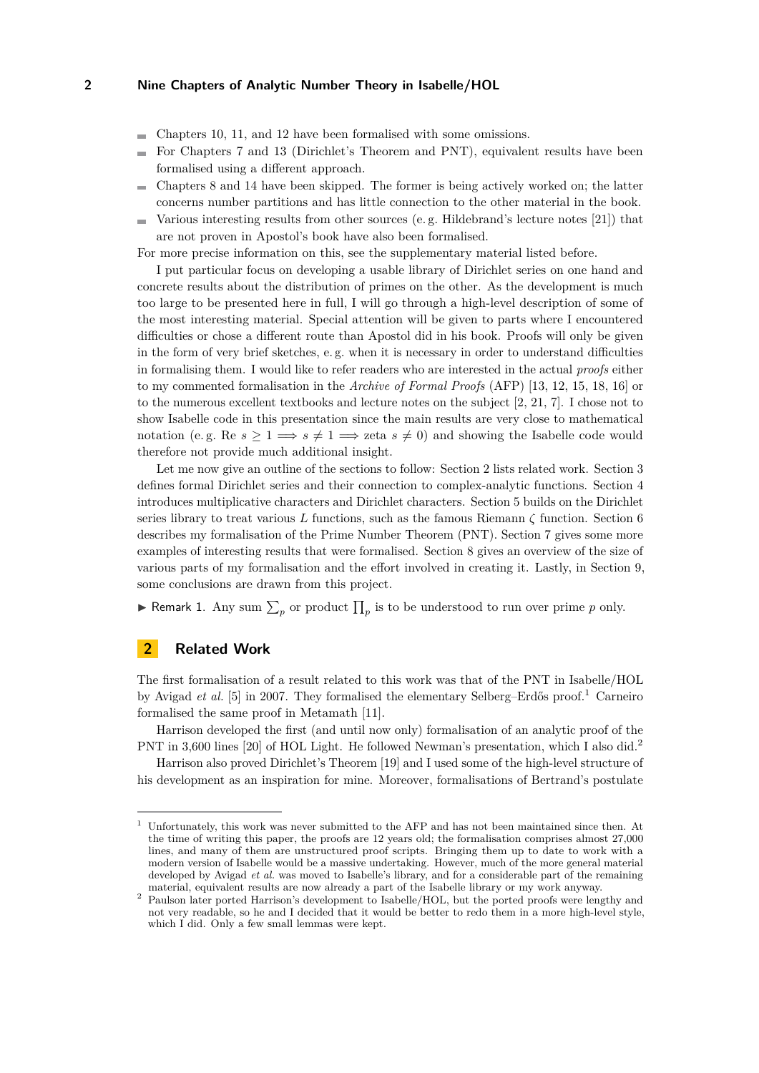- Chapters 10, 11, and 12 have been formalised with some omissions. m.
- For Chapters 7 and 13 (Dirichlet's Theorem and PNT), equivalent results have been  $\overline{a}$ formalised using a different approach.
- Chapters 8 and 14 have been skipped. The former is being actively worked on; the latter  $\sim$ concerns number partitions and has little connection to the other material in the book.
- Various interesting results from other sources (e. g. Hildebrand's lecture notes [\[21\]](#page-17-0)) that  $\blacksquare$ are not proven in Apostol's book have also been formalised.

For more precise information on this, see the supplementary material listed before.

I put particular focus on developing a usable library of Dirichlet series on one hand and concrete results about the distribution of primes on the other. As the development is much too large to be presented here in full, I will go through a high-level description of some of the most interesting material. Special attention will be given to parts where I encountered difficulties or chose a different route than Apostol did in his book. Proofs will only be given in the form of very brief sketches, e. g. when it is necessary in order to understand difficulties in formalising them. I would like to refer readers who are interested in the actual *proofs* either to my commented formalisation in the *Archive of Formal Proofs* (AFP) [\[13,](#page-17-1) [12,](#page-17-2) [15,](#page-17-3) [18,](#page-17-4) [16\]](#page-17-5) or to the numerous excellent textbooks and lecture notes on the subject [\[2,](#page-17-6) [21,](#page-17-0) [7\]](#page-17-7). I chose not to show Isabelle code in this presentation since the main results are very close to mathematical notation (e.g. Re  $s \geq 1 \Longrightarrow s \neq 1 \Longrightarrow zeta s \neq 0$ ) and showing the Isabelle code would therefore not provide much additional insight.

Let me now give an outline of the sections to follow: Section [2](#page-1-0) lists related work. Section [3](#page-2-0) defines formal Dirichlet series and their connection to complex-analytic functions. Section [4](#page-4-0) introduces multiplicative characters and Dirichlet characters. Section [5](#page-5-0) builds on the Dirichlet series library to treat various *L* functions, such as the famous Riemann *ζ* function. Section [6](#page-11-0) describes my formalisation of the Prime Number Theorem (PNT). Section [7](#page-14-0) gives some more examples of interesting results that were formalised. Section [8](#page-15-0) gives an overview of the size of various parts of my formalisation and the effort involved in creating it. Lastly, in Section [9,](#page-16-0) some conclusions are drawn from this project.

**Follow Remark 1.** Any sum  $\sum_{p}$  or product  $\prod_{p}$  is to be understood to run over prime *p* only.

# <span id="page-1-0"></span>**2 Related Work**

The first formalisation of a result related to this work was that of the PNT in Isabelle/HOL by Avigad *et al.* [\[5\]](#page-17-8) in 2007. They formalised the elementary Selberg–Erdős proof.[1](#page-1-1) Carneiro formalised the same proof in Metamath [\[11\]](#page-17-9).

Harrison developed the first (and until now only) formalisation of an analytic proof of the PNT in 3,600 lines [\[20\]](#page-17-10) of HOL Light. He followed Newman's presentation, which I also did.[2](#page-1-2)

Harrison also proved Dirichlet's Theorem [\[19\]](#page-17-11) and I used some of the high-level structure of his development as an inspiration for mine. Moreover, formalisations of Bertrand's postulate

<span id="page-1-1"></span> $1$  Unfortunately, this work was never submitted to the AFP and has not been maintained since then. At the time of writing this paper, the proofs are 12 years old; the formalisation comprises almost 27,000 lines, and many of them are unstructured proof scripts. Bringing them up to date to work with a modern version of Isabelle would be a massive undertaking. However, much of the more general material developed by Avigad *et al.* was moved to Isabelle's library, and for a considerable part of the remaining material, equivalent results are now already a part of the Isabelle library or my work anyway.

<span id="page-1-2"></span> $^{\rm 2}$  Paulson later ported Harrison's development to Isabelle/HOL, but the ported proofs were lengthy and not very readable, so he and I decided that it would be better to redo them in a more high-level style, which I did. Only a few small lemmas were kept.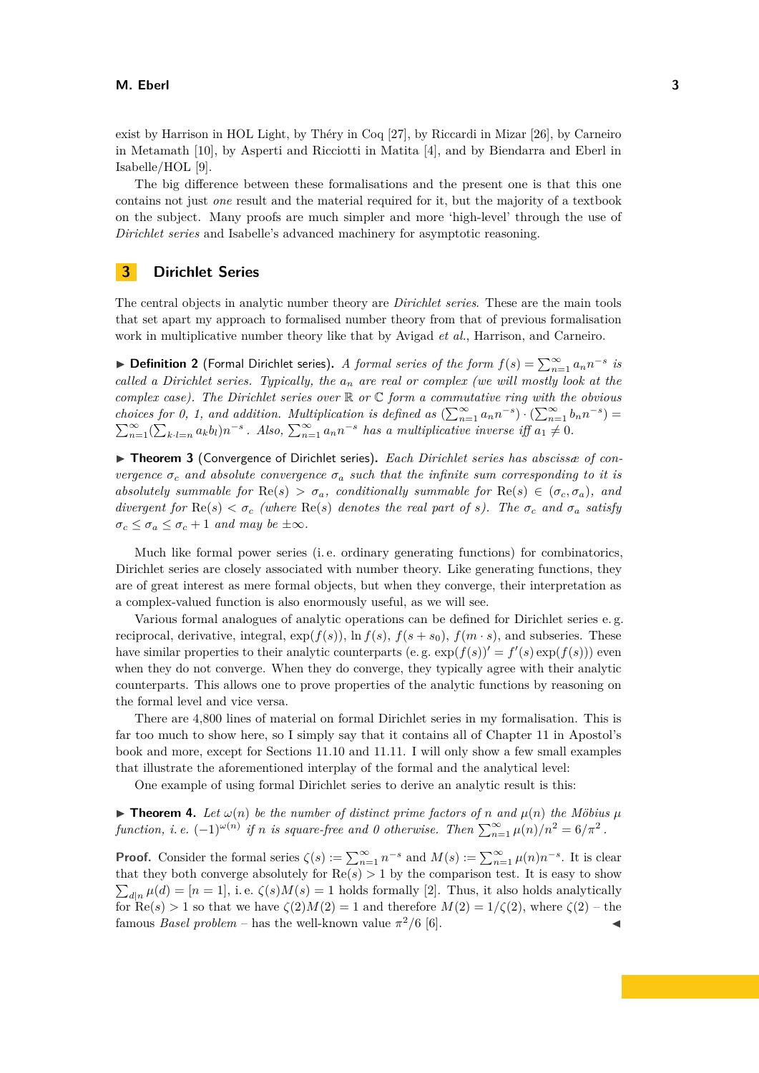exist by Harrison in HOL Light, by Théry in Coq [\[27\]](#page-18-0), by Riccardi in Mizar [\[26\]](#page-18-1), by Carneiro in Metamath [\[10\]](#page-17-12), by Asperti and Ricciotti in Matita [\[4\]](#page-17-13), and by Biendarra and Eberl in Isabelle/HOL [\[9\]](#page-17-14).

The big difference between these formalisations and the present one is that this one contains not just *one* result and the material required for it, but the majority of a textbook on the subject. Many proofs are much simpler and more 'high-level' through the use of *Dirichlet series* and Isabelle's advanced machinery for asymptotic reasoning.

# <span id="page-2-0"></span>**3 Dirichlet Series**

The central objects in analytic number theory are *Dirichlet series*. These are the main tools that set apart my approach to formalised number theory from that of previous formalisation work in multiplicative number theory like that by Avigad *et al.*, Harrison, and Carneiro.

▶ **Definition 2** (Formal Dirichlet series). *A formal series of the form*  $f(s) = \sum_{n=1}^{\infty} a_n n^{-s}$  *is called a Dirichlet series. Typically, the a<sup>n</sup> are real or complex (we will mostly look at the complex case). The Dirichlet series over* R *or* C *form a commutative ring with the obvious choices for 0, 1, and addition. Multiplication is defined as*  $(\sum_{n=1}^{\infty} a_n n^{-s}) \cdot (\sum_{n=1}^{\infty} b_n n^{-s}) =$  $\sum_{n=1}^{\infty} (\sum_{k,l=n} a_k b_l) n^{-s}$ . Also,  $\sum_{n=1}^{\infty} a_n n^{-s}$  has a multiplicative inverse iff  $a_1 \neq 0$ .

▶ **Theorem 3** (Convergence of Dirichlet series). Each Dirichlet series has abscissae of con*vergence*  $\sigma_c$  *and absolute convergence*  $\sigma_a$  *such that the infinite sum corresponding to it is absolutely summable for*  $\text{Re}(s) > \sigma_a$ *, conditionally summable for*  $\text{Re}(s) \in (\sigma_c, \sigma_a)$ *, and divergent for*  $\text{Re}(s) < \sigma_c$  *(where*  $\text{Re}(s)$  *denotes the real part of s*). The  $\sigma_c$  *and*  $\sigma_a$  *satisfy*  $\sigma_c \leq \sigma_a \leq \sigma_c + 1$  *and may be*  $\pm \infty$ *.* 

Much like formal power series (i. e. ordinary generating functions) for combinatorics, Dirichlet series are closely associated with number theory. Like generating functions, they are of great interest as mere formal objects, but when they converge, their interpretation as a complex-valued function is also enormously useful, as we will see.

Various formal analogues of analytic operations can be defined for Dirichlet series e. g. reciprocal, derivative, integral,  $\exp(f(s))$ ,  $\ln f(s)$ ,  $f(s + s_0)$ ,  $f(m \cdot s)$ , and subseries. These have similar properties to their analytic counterparts (e.g.  $\exp(f(s))' = f'(s) \exp(f(s))$ ) even when they do not converge. When they do converge, they typically agree with their analytic counterparts. This allows one to prove properties of the analytic functions by reasoning on the formal level and vice versa.

There are 4,800 lines of material on formal Dirichlet series in my formalisation. This is far too much to show here, so I simply say that it contains all of Chapter 11 in Apostol's book and more, except for Sections 11.10 and 11.11. I will only show a few small examples that illustrate the aforementioned interplay of the formal and the analytical level:

One example of using formal Dirichlet series to derive an analytic result is this:

**Find 1.** Let  $\omega(n)$  be the number of distinct prime factors of *n* and  $\mu(n)$  the Möbius  $\mu$ *function, i.e.*  $(-1)^{\omega(n)}$  *if n is square-free and 0 otherwise. Then*  $\sum_{n=1}^{\infty} \mu(n)/n^2 = 6/\pi^2$ .

**Proof.** Consider the formal series  $\zeta(s) := \sum_{n=1}^{\infty} n^{-s}$  and  $M(s) := \sum_{n=1}^{\infty} \mu(n) n^{-s}$ . It is clear that they both converge absolutely for  $\text{Re}(s) > 1$  by the comparison test. It is easy to show  $\sum_{d|n} \mu(d) = [n = 1]$ , i.e.  $\zeta(s)M(s) = 1$  holds formally [\[2\]](#page-17-6). Thus, it also holds analytically for  $\text{Re}(s) > 1$  so that we have  $\zeta(2)M(2) = 1$  and therefore  $M(2) = 1/\zeta(2)$ , where  $\zeta(2)$  – the famous *Basel problem* – has the well-known value  $\pi^2/6$  [\[6\]](#page-17-15).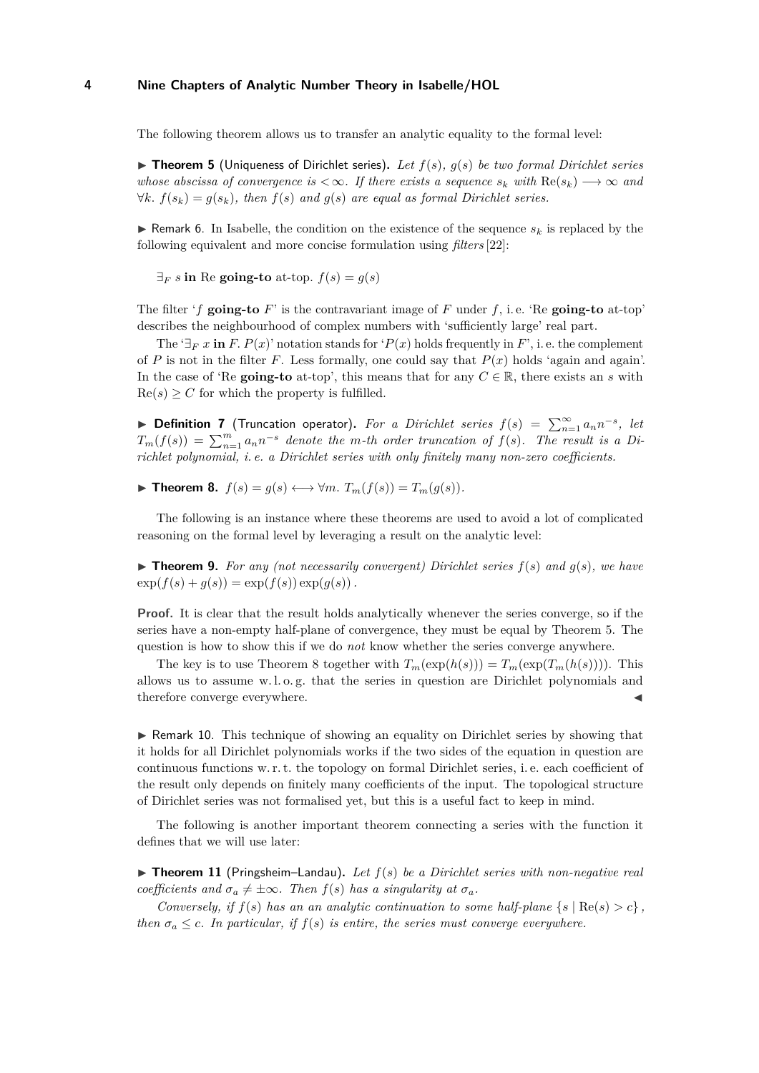<span id="page-3-0"></span>The following theorem allows us to transfer an analytic equality to the formal level:

▶ Theorem 5 (Uniqueness of Dirichlet series). Let  $f(s)$ ,  $g(s)$  be two formal Dirichlet series *whose abscissa of convergence is*  $\langle \infty, I \rangle$  *fithere exists a sequence*  $s_k$  *with*  $\text{Re}(s_k) \longrightarrow \infty$  *and*  $∀k. f(s_k) = g(s_k)$ , then  $f(s)$  and  $g(s)$  are equal as formal Dirichlet series.

**If** Remark 6. In Isabelle, the condition on the existence of the sequence  $s_k$  is replaced by the following equivalent and more concise formulation using *filters* [\[22\]](#page-18-2):

 $\exists_F s$  in Re going-to at-top.  $f(s) = g(s)$ 

The filter 'f going-to  $F'$  is the contravariant image of  $F$  under  $f$ , i.e. 'Re going-to at-top' describes the neighbourhood of complex numbers with 'sufficiently large' real part.

The ' $\exists_F x$  in *F*.  $P(x)$ ' notation stands for ' $P(x)$  holds frequently in *F*', i.e. the complement of *P* is not in the filter *F*. Less formally, one could say that *P*(*x*) holds 'again and again'. In the case of 'Re **going-to** at-top', this means that for any  $C \in \mathbb{R}$ , there exists an *s* with  $\text{Re}(s) \geq C$  for which the property is fulfilled.

▶ **Definition 7** (Truncation operator). For a Dirichlet series  $f(s) = \sum_{n=1}^{\infty} a_n n^{-s}$ , let  $T_m(f(s)) = \sum_{n=1}^m a_n n^{-s}$  *denote the m*-th order truncation of  $f(s)$ *. The result is a Dirichlet polynomial, i. e. a Dirichlet series with only finitely many non-zero coefficients.*

<span id="page-3-1"></span>▶ **Theorem 8.**  $f(s) = g(s) \longleftrightarrow \forall m$ .  $T_m(f(s)) = T_m(g(s))$ .

The following is an instance where these theorems are used to avoid a lot of complicated reasoning on the formal level by leveraging a result on the analytic level:

 $\triangleright$  **Theorem 9.** For any (not necessarily convergent) Dirichlet series  $f(s)$  and  $g(s)$ , we have  $\exp(f(s) + g(s)) = \exp(f(s)) \exp(g(s)).$ 

**Proof.** It is clear that the result holds analytically whenever the series converge, so if the series have a non-empty half-plane of convergence, they must be equal by Theorem [5.](#page-3-0) The question is how to show this if we do *not* know whether the series converge anywhere.

The key is to use Theorem [8](#page-3-1) together with  $T_m(\exp(h(s))) = T_m(\exp(T_m(h(s))))$ . This allows us to assume w. l. o. g. that the series in question are Dirichlet polynomials and therefore converge everywhere.

 $\triangleright$  Remark 10. This technique of showing an equality on Dirichlet series by showing that it holds for all Dirichlet polynomials works if the two sides of the equation in question are continuous functions w. r. t. the topology on formal Dirichlet series, i. e. each coefficient of the result only depends on finitely many coefficients of the input. The topological structure of Dirichlet series was not formalised yet, but this is a useful fact to keep in mind.

The following is another important theorem connecting a series with the function it defines that we will use later:

<span id="page-3-2"></span> $\triangleright$  **Theorem 11** (Pringsheim–Landau). Let  $f(s)$  be a Dirichlet series with non-negative real *coefficients and*  $\sigma_a \neq \pm \infty$ *. Then*  $f(s)$  *has a singularity at*  $\sigma_a$ *.* 

*Conversely, if*  $f(s)$  *has an an analytic continuation to some half-plane*  $\{s \mid \text{Re}(s) > c\}$ , *then*  $\sigma_a \leq c$ *. In particular, if*  $f(s)$  *is entire, the series must converge everywhere.*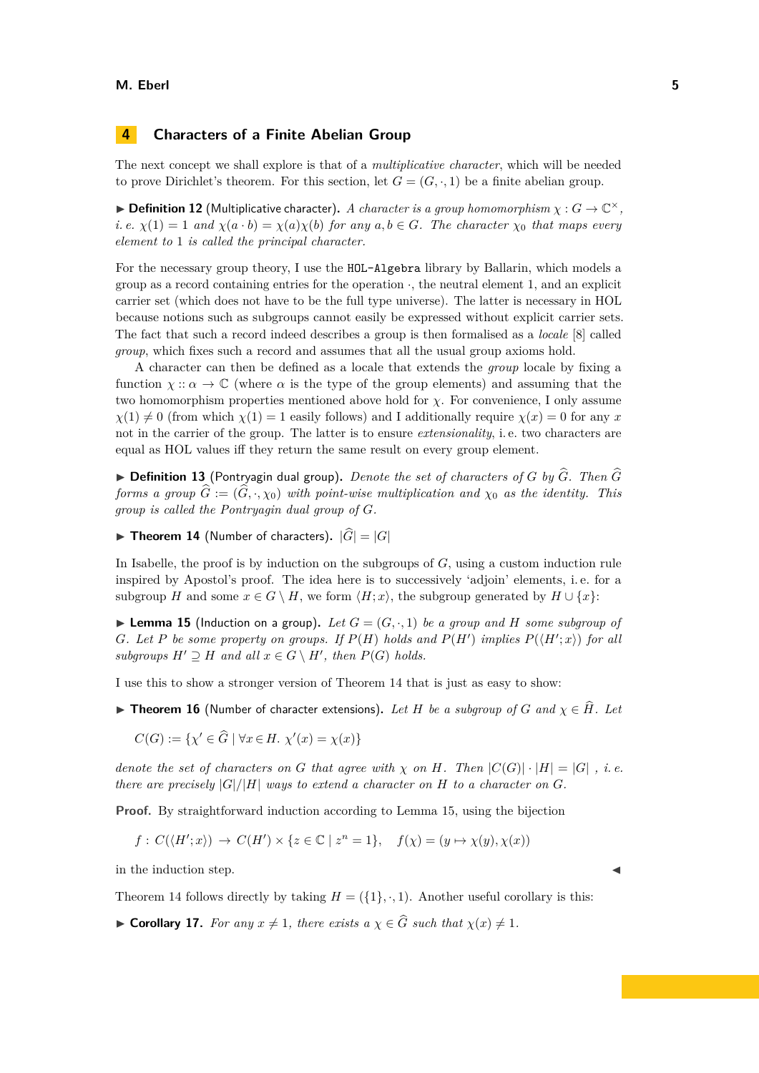# <span id="page-4-0"></span>**4 Characters of a Finite Abelian Group**

The next concept we shall explore is that of a *multiplicative character*, which will be needed to prove Dirichlet's theorem. For this section, let  $G = (G, \cdot, 1)$  be a finite abelian group.

 $\blacktriangleright$  **Definition 12** (Multiplicative character). *A character is a group homomorphism*  $\chi: G \to \mathbb{C}^{\times}$ , *i.e.*  $\chi(1) = 1$  *and*  $\chi(a \cdot b) = \chi(a)\chi(b)$  *for any*  $a, b \in G$ *. The character*  $\chi_0$  *that maps every element to* 1 *is called the principal character.*

For the necessary group theory, I use the HOL-Algebra library by Ballarin, which models a group as a record containing entries for the operation  $\cdot$ , the neutral element 1, and an explicit carrier set (which does not have to be the full type universe). The latter is necessary in HOL because notions such as subgroups cannot easily be expressed without explicit carrier sets. The fact that such a record indeed describes a group is then formalised as a *locale* [\[8\]](#page-17-16) called *group*, which fixes such a record and assumes that all the usual group axioms hold.

A character can then be defined as a locale that extends the *group* locale by fixing a function  $\chi$  ::  $\alpha \to \mathbb{C}$  (where  $\alpha$  is the type of the group elements) and assuming that the two homomorphism properties mentioned above hold for  $\chi$ . For convenience, I only assume  $\chi(1) \neq 0$  (from which  $\chi(1) = 1$  easily follows) and I additionally require  $\chi(x) = 0$  for any *x* not in the carrier of the group. The latter is to ensure *extensionality*, i. e. two characters are equal as HOL values iff they return the same result on every group element.

 $\triangleright$  **Definition 13** (Pontryagin dual group). *Denote the set of characters of G by*  $\widehat{G}$ . *Then*  $\widehat{G}$ *forms a group*  $\hat{G} := (\hat{G}, \cdot, \chi_0)$  *with point-wise multiplication and*  $\chi_0$  *as the identity. This group is called the Pontryagin dual group of G.*

<span id="page-4-1"></span> $\blacktriangleright$  **Theorem 14** (Number of characters).  $|\widehat{G}| = |G|$ 

In Isabelle, the proof is by induction on the subgroups of *G*, using a custom induction rule inspired by Apostol's proof. The idea here is to successively 'adjoin' elements, i. e. for a subgroup *H* and some  $x \in G \setminus H$ , we form  $\langle H; x \rangle$ , the subgroup generated by  $H \cup \{x\}$ :

<span id="page-4-2"></span>**Lemma 15** (Induction on a group). Let  $G = (G, \cdot, 1)$  be a group and H some subgroup of *G*. Let *P* be some property on groups. If  $P(H)$  holds and  $P(H')$  implies  $P(\langle H';x \rangle)$  for all *subgroups*  $H' \supseteq H$  *and all*  $x \in G \setminus H'$ , *then*  $P(G)$  *holds.* 

I use this to show a stronger version of Theorem [14](#page-4-1) that is just as easy to show:

▶ Theorem 16 (Number of character extensions). Let *H* be a subgroup of *G* and  $\chi$  ∈  $\hat{H}$ . Let

$$
C(G) := \{ \chi' \in \widehat{G} \mid \forall x \in H. \ \chi'(x) = \chi(x) \}
$$

*denote the set of characters on G that agree with*  $\chi$  *on H. Then*  $|C(G)| \cdot |H| = |G|$ , *i.e. there are precisely*  $|G|/|H|$  *ways to extend a character on H to a character on G*.

**Proof.** By straightforward induction according to Lemma [15,](#page-4-2) using the bijection

$$
f: C(\langle H';x \rangle) \to C(H') \times \{ z \in \mathbb{C} \mid z^n = 1 \}, \quad f(\chi) = (y \mapsto \chi(y), \chi(x))
$$

in the induction step.

Theorem [14](#page-4-1) follows directly by taking  $H = (\{1\}, \cdot, 1)$ . Another useful corollary is this:

► **Corollary 17.** *For any*  $x \neq 1$ *, there exists a*  $\chi \in \widehat{G}$  *such that*  $\chi(x) \neq 1$ *.*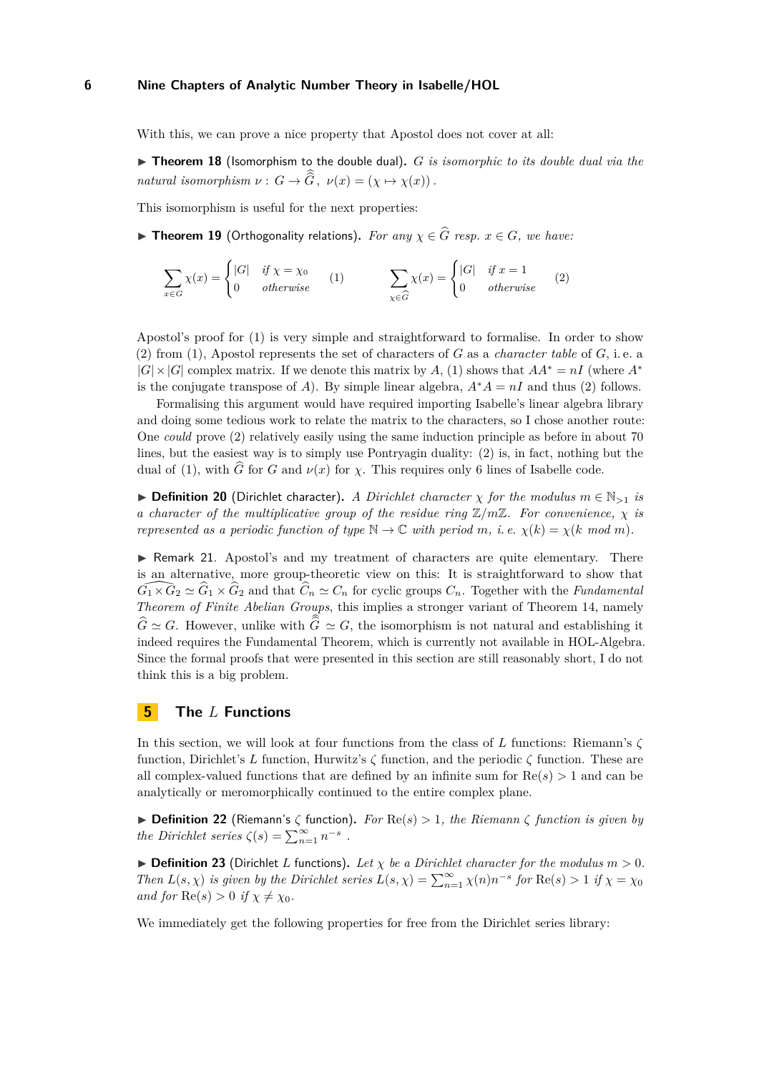With this, we can prove a nice property that Apostol does not cover at all:

▶ **Theorem 18** (Isomorphism to the double dual). *G is isomorphic to its double dual via the natural isomorphism*  $\nu : G \to \widehat{\widehat{G}}$ ,  $\nu(x) = (\chi \mapsto \chi(x))$ .

This isomorphism is useful for the next properties:

<span id="page-5-1"></span>**► Theorem 19** (Orthogonality relations). For any  $\chi$  ∈  $\widehat{G}$  resp.  $x$  ∈  $G$ *, we have:* 

<span id="page-5-2"></span>
$$
\sum_{x \in G} \chi(x) = \begin{cases}\n|G| & \text{if } \chi = \chi_0 \\
0 & \text{otherwise}\n\end{cases}
$$
\n(1)\n
$$
\sum_{\chi \in \widehat{G}} \chi(x) = \begin{cases}\n|G| & \text{if } x = 1 \\
0 & \text{otherwise}\n\end{cases}
$$
\n(2)

Apostol's proof for [\(1\)](#page-5-1) is very simple and straightforward to formalise. In order to show [\(2\)](#page-5-2) from [\(1\)](#page-5-1), Apostol represents the set of characters of *G* as a *character table* of *G*, i. e. a  $|G| \times |G|$  complex matrix. If we denote this matrix by *A*, [\(1\)](#page-5-1) shows that  $AA^* = nI$  (where  $A^*$ is the conjugate transpose of *A*). By simple linear algebra,  $A^*A = nI$  and thus [\(2\)](#page-5-2) follows.

Formalising this argument would have required importing Isabelle's linear algebra library and doing some tedious work to relate the matrix to the characters, so I chose another route: One *could* prove [\(2\)](#page-5-2) relatively easily using the same induction principle as before in about 70 lines, but the easiest way is to simply use Pontryagin duality: [\(2\)](#page-5-2) is, in fact, nothing but the dual of [\(1\)](#page-5-1), with  $\hat{G}$  for *G* and  $\nu(x)$  for *χ*. This requires only 6 lines of Isabelle code.

**► Definition 20** (Dirichlet character). *A Dirichlet character*  $\chi$  *for the modulus*  $m \in \mathbb{N}_{>1}$  *is a character of the multiplicative group of the residue ring* Z*/m*Z*. For convenience, χ is represented as a periodic function of type*  $\mathbb{N} \to \mathbb{C}$  *with period m, i.e.*  $\chi(k) = \chi(k \mod m)$ *.* 

 $\triangleright$  Remark 21. Apostol's and my treatment of characters are quite elementary. There is an alternative, more group-theoretic view on this: It is straightforward to show that  $G_1 \times G_2 \simeq G_1 \times G_2$  and that  $\hat{C}_n \simeq C_n$  for cyclic groups  $C_n$ . Together with the *Fundamental Theorem of Finite Abelian Groups*, this implies a stronger variant of Theorem [14,](#page-4-1) namely  $G \simeq G$ . However, unlike with  $G \simeq G$ , the isomorphism is not natural and establishing it indeed requires the Fundamental Theorem, which is currently not available in HOL-Algebra. Since the formal proofs that were presented in this section are still reasonably short, I do not think this is a big problem.

### <span id="page-5-0"></span>**5 The** *L* **Functions**

In this section, we will look at four functions from the class of *L* functions: Riemann's *ζ* function, Dirichlet's *L* function, Hurwitz's *ζ* function, and the periodic *ζ* function. These are all complex-valued functions that are defined by an infinite sum for  $Re(s) > 1$  and can be analytically or meromorphically continued to the entire complex plane.

 $\triangleright$  **Definition 22** (Riemann's  $\zeta$  function). For  $\text{Re}(s) > 1$ , the Riemann  $\zeta$  function is given by *the Dirichlet series*  $\zeta(s) = \sum_{n=1}^{\infty} n^{-s}$ .

 $\triangleright$  **Definition 23** (Dirichlet *L* functions). Let  $\chi$  be a Dirichlet character for the modulus  $m > 0$ . *Then*  $L(s, \chi)$  *is given by the Dirichlet series*  $L(s, \chi) = \sum_{n=1}^{\infty} \chi(n) n^{-s}$  *for*  $\text{Re}(s) > 1$  *if*  $\chi = \chi_0$ *and for*  $\text{Re}(s) > 0$  *if*  $\chi \neq \chi_0$ *.* 

<span id="page-5-3"></span>We immediately get the following properties for free from the Dirichlet series library: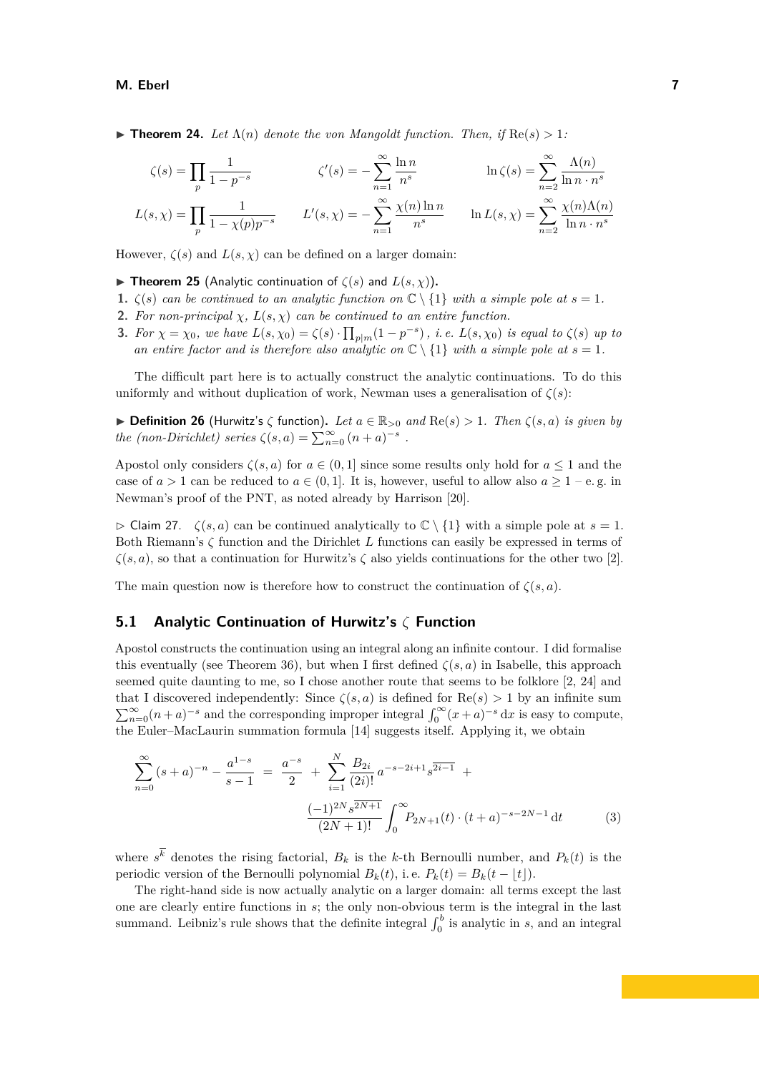**Findmark 1. Theorem 24.** *Let*  $\Lambda(n)$  *denote the von Mangoldt function. Then, if*  $\text{Re}(s) > 1$ :

$$
\zeta(s) = \prod_{p} \frac{1}{1 - p^{-s}} \qquad \qquad \zeta'(s) = -\sum_{n=1}^{\infty} \frac{\ln n}{n^s} \qquad \qquad \ln \zeta(s) = \sum_{n=2}^{\infty} \frac{\Lambda(n)}{\ln n \cdot n^s}
$$

$$
L(s, \chi) = \prod_{p} \frac{1}{1 - \chi(p)p^{-s}} \qquad L'(s, \chi) = -\sum_{n=1}^{\infty} \frac{\chi(n)\ln n}{n^s} \qquad \ln L(s, \chi) = \sum_{n=2}^{\infty} \frac{\chi(n)\Lambda(n)}{\ln n \cdot n^s}
$$

However,  $\zeta(s)$  and  $L(s, \chi)$  can be defined on a larger domain:

- **I Theorem 25** (Analytic continuation of  $\zeta(s)$  and  $L(s, \chi)$ ).
- **1.**  $\zeta(s)$  *can be continued to an analytic function on*  $\mathbb{C} \setminus \{1\}$  *with a simple pole at*  $s = 1$ *.*
- **2.** *For non-principal*  $\chi$ ,  $L(s, \chi)$  *can be continued to an entire function.*
- **3.** For  $\chi = \chi_0$ , we have  $L(s, \chi_0) = \zeta(s) \cdot \prod_{p|m} (1 p^{-s})$ , i.e.  $L(s, \chi_0)$  is equal to  $\zeta(s)$  up to *an entire factor and is therefore also analytic on*  $\mathbb{C} \setminus \{1\}$  *with a simple pole at*  $s = 1$ *.*

The difficult part here is to actually construct the analytic continuations. To do this uniformly and without duplication of work, Newman uses a generalisation of  $\zeta(s)$ :

**► Definition 26** (Hurwitz's  $\zeta$  function). Let  $a \in \mathbb{R}_{>0}$  and  $\text{Re}(s) > 1$ . Then  $\zeta(s, a)$  is given by *the (non-Dirichlet) series*  $\zeta(s, a) = \sum_{n=0}^{\infty} (n+a)^{-s}$ .

Apostol only considers  $\zeta(s, a)$  for  $a \in (0, 1]$  since some results only hold for  $a \le 1$  and the case of  $a > 1$  can be reduced to  $a \in (0, 1]$ . It is, however, useful to allow also  $a > 1 - e$ . g. in Newman's proof of the PNT, as noted already by Harrison [\[20\]](#page-17-10).

 $\triangleright$  Claim 27.  $\zeta(s, a)$  can be continued analytically to  $\mathbb{C} \setminus \{1\}$  with a simple pole at  $s = 1$ . Both Riemann's *ζ* function and the Dirichlet *L* functions can easily be expressed in terms of  $\zeta(s, a)$ , so that a continuation for Hurwitz's  $\zeta$  also yields continuations for the other two [\[2\]](#page-17-6).

The main question now is therefore how to construct the continuation of  $\zeta(s, a)$ .

### <span id="page-6-1"></span>**5.1 Analytic Continuation of Hurwitz's** *ζ* **Function**

Apostol constructs the continuation using an integral along an infinite contour. I did formalise this eventually (see Theorem [36\)](#page-9-0), but when I first defined  $\zeta(s, a)$  in Isabelle, this approach seemed quite daunting to me, so I chose another route that seems to be folklore [\[2,](#page-17-6) [24\]](#page-18-3) and that I discovered independently: Since  $\zeta(s, a)$  is defined for  $\text{Re}(s) > 1$  by an infinite sum  $\sum_{n=0}^{\infty} (n+a)^{-s}$  and the corresponding improper integral  $\int_{0}^{\infty} (x+a)^{-s} dx$  is easy to compute, the Euler–MacLaurin summation formula [\[14\]](#page-17-17) suggests itself. Applying it, we obtain

<span id="page-6-0"></span>
$$
\sum_{n=0}^{\infty} (s+a)^{-n} - \frac{a^{1-s}}{s-1} = \frac{a^{-s}}{2} + \sum_{i=1}^{N} \frac{B_{2i}}{(2i)!} a^{-s-2i+1} s^{\overline{2i-1}} + \frac{(-1)^{2N} s^{\overline{2N+1}}}{(2N+1)!} \int_{0}^{\infty} P_{2N+1}(t) \cdot (t+a)^{-s-2N-1} dt \tag{3}
$$

where  $s^k$  denotes the rising factorial,  $B_k$  is the *k*-th Bernoulli number, and  $P_k(t)$  is the periodic version of the Bernoulli polynomial  $B_k(t)$ , i.e.  $P_k(t) = B_k(t - |t|)$ .

The right-hand side is now actually analytic on a larger domain: all terms except the last one are clearly entire functions in *s*; the only non-obvious term is the integral in the last summand. Leibniz's rule shows that the definite integral  $\int_0^b$  is analytic in *s*, and an integral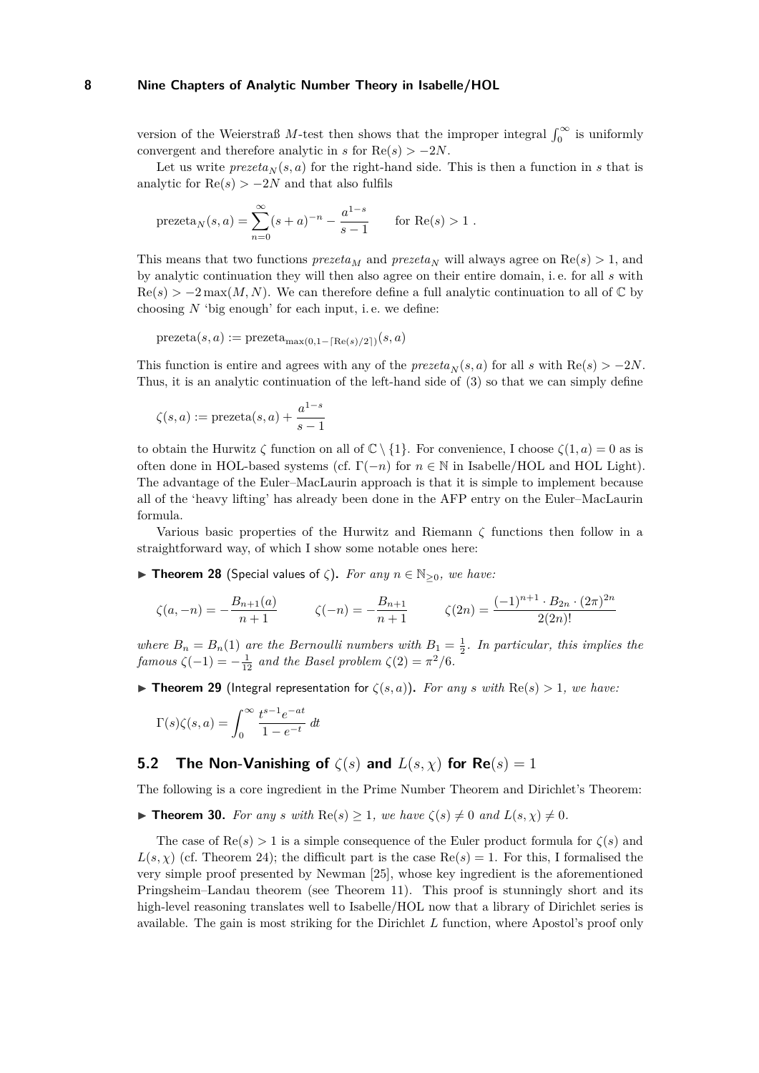version of the Weierstraß *M*-test then shows that the improper integral  $\int_0^\infty$  is uniformly convergent and therefore analytic in *s* for  $Re(s) > -2N$ .

Let us write  $prezeta_N(s, a)$  for the right-hand side. This is then a function in *s* that is analytic for  $\text{Re}(s) > -2N$  and that also fulfils

$$
\text{prezeta}_N(s,a) = \sum_{n=0}^\infty (s+a)^{-n} - \frac{a^{1-s}}{s-1} \qquad \text{for $\text{Re}(s) > 1$ }.
$$

This means that two functions  $prezeta_M$  and  $prezeta_N$  will always agree on  $\text{Re}(s) > 1$ , and by analytic continuation they will then also agree on their entire domain, i. e. for all *s* with  $\text{Re}(s) > -2 \max(M, N)$ . We can therefore define a full analytic continuation to all of  $\mathbb{C}$  by choosing  $N$  'big enough' for each input, i.e. we define:

$$
\text{prezeta}(s, a) := \text{prezeta}_{\max(0, 1 - \lceil \text{Re}(s)/2 \rceil)}(s, a)
$$

This function is entire and agrees with any of the  $prezeta<sub>N</sub>(s, a)$  for all *s* with Re(*s*) *>* −2*N*. Thus, it is an analytic continuation of the left-hand side of [\(3\)](#page-6-0) so that we can simply define

$$
\zeta(s, a) := \text{prezeta}(s, a) + \frac{a^{1-s}}{s-1}
$$

to obtain the Hurwitz  $\zeta$  function on all of  $\mathbb{C} \setminus \{1\}$ . For convenience, I choose  $\zeta(1, a) = 0$  as is often done in HOL-based systems (cf.  $\Gamma(-n)$  for  $n \in \mathbb{N}$  in Isabelle/HOL and HOL Light). The advantage of the Euler–MacLaurin approach is that it is simple to implement because all of the 'heavy lifting' has already been done in the AFP entry on the Euler–MacLaurin formula.

Various basic properties of the Hurwitz and Riemann *ζ* functions then follow in a straightforward way, of which I show some notable ones here:

**If Theorem 28** (Special values of  $\zeta$ ). For any  $n \in \mathbb{N}_{\geq 0}$ , we have:

$$
\zeta(a,-n) = -\frac{B_{n+1}(a)}{n+1} \qquad \zeta(-n) = -\frac{B_{n+1}}{n+1} \qquad \zeta(2n) = \frac{(-1)^{n+1} \cdot B_{2n} \cdot (2\pi)^{2n}}{2(2n)!}
$$

where  $B_n = B_n(1)$  are the Bernoulli numbers with  $B_1 = \frac{1}{2}$ . In particular, this implies the *famous*  $\zeta(-1) = -\frac{1}{12}$  *and the Basel problem*  $\zeta(2) = \pi^2/6$ *.* 

<span id="page-7-0"></span>**► Theorem 29** (Integral representation for  $\zeta(s, a)$ ). For any *s* with Re(*s*) > 1, we have:

$$
\Gamma(s)\zeta(s,a) = \int_0^\infty \frac{t^{s-1}e^{-at}}{1 - e^{-t}} dt
$$

# **5.2 The Non-Vanishing of**  $\zeta(s)$  and  $L(s, \chi)$  for  $Re(s) = 1$

The following is a core ingredient in the Prime Number Theorem and Dirichlet's Theorem:

<span id="page-7-1"></span>**Find Theorem 30.** *For any s with*  $\text{Re}(s) \geq 1$ *, we have*  $\zeta(s) \neq 0$  *and*  $L(s, \chi) \neq 0$ *.* 

The case of  $\text{Re}(s) > 1$  is a simple consequence of the Euler product formula for  $\zeta(s)$  and  $L(s, \chi)$  (cf. Theorem [24\)](#page-5-3); the difficult part is the case Re $(s) = 1$ . For this, I formalised the very simple proof presented by Newman [\[25\]](#page-18-4), whose key ingredient is the aforementioned Pringsheim–Landau theorem (see Theorem [11\)](#page-3-2). This proof is stunningly short and its high-level reasoning translates well to Isabelle/HOL now that a library of Dirichlet series is available. The gain is most striking for the Dirichlet *L* function, where Apostol's proof only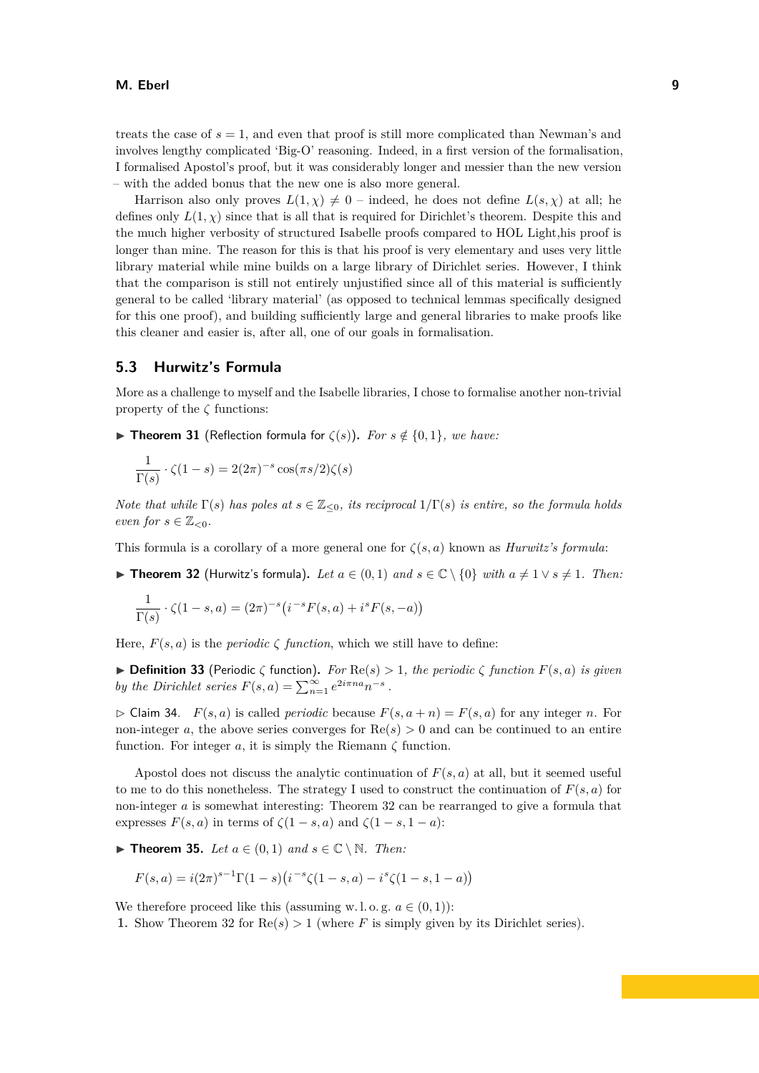treats the case of  $s = 1$ , and even that proof is still more complicated than Newman's and involves lengthy complicated 'Big-O' reasoning. Indeed, in a first version of the formalisation, I formalised Apostol's proof, but it was considerably longer and messier than the new version – with the added bonus that the new one is also more general.

Harrison also only proves  $L(1,\chi) \neq 0$  – indeed, he does not define  $L(s,\chi)$  at all; he defines only  $L(1, \chi)$  since that is all that is required for Dirichlet's theorem. Despite this and the much higher verbosity of structured Isabelle proofs compared to HOL Light,his proof is longer than mine. The reason for this is that his proof is very elementary and uses very little library material while mine builds on a large library of Dirichlet series. However, I think that the comparison is still not entirely unjustified since all of this material is sufficiently general to be called 'library material' (as opposed to technical lemmas specifically designed for this one proof), and building sufficiently large and general libraries to make proofs like this cleaner and easier is, after all, one of our goals in formalisation.

#### **5.3 Hurwitz's Formula**

More as a challenge to myself and the Isabelle libraries, I chose to formalise another non-trivial property of the  $\zeta$  functions:

**Figure 11** (Reflection formula for  $\zeta(s)$ ). For  $s \notin \{0, 1\}$ , we have:

$$
\frac{1}{\Gamma(s)} \cdot \zeta(1-s) = 2(2\pi)^{-s} \cos(\pi s/2) \zeta(s)
$$

*Note that while*  $\Gamma(s)$  *has poles at*  $s \in \mathbb{Z}_{\leq 0}$ *, its reciprocal*  $1/\Gamma(s)$  *is entire, so the formula holds even for*  $s \in \mathbb{Z}_{\leq 0}$ *.* 

<span id="page-8-0"></span>This formula is a corollary of a more general one for *ζ*(*s, a*) known as *Hurwitz's formula*:

▶ **Theorem 32** (Hurwitz's formula). Let  $a \in (0,1)$  and  $s \in \mathbb{C} \setminus \{0\}$  with  $a \neq 1 \vee s \neq 1$ . Then:

$$
\frac{1}{\Gamma(s)} \cdot \zeta(1-s, a) = (2\pi)^{-s} (i^{-s} F(s, a) + i^{s} F(s, -a))
$$

Here,  $F(s, a)$  is the *periodic*  $\zeta$  *function*, which we still have to define:

 $\triangleright$  **Definition 33** (Periodic  $\zeta$  function). For  $\text{Re}(s) > 1$ , the periodic  $\zeta$  function  $F(s, a)$  is given *by the Dirichlet series*  $F(s, a) = \sum_{n=1}^{\infty} e^{2i\pi na} n^{-s}$ .

 $\triangleright$  Claim 34. *F*(*s, a*) is called *periodic* because  $F(s, a + n) = F(s, a)$  for any integer *n*. For non-integer *a*, the above series converges for  $\text{Re}(s) > 0$  and can be continued to an entire function. For integer  $a$ , it is simply the Riemann  $\zeta$  function.

Apostol does not discuss the analytic continuation of  $F(s, a)$  at all, but it seemed useful to me to do this nonetheless. The strategy I used to construct the continuation of  $F(s, a)$  for non-integer *a* is somewhat interesting: Theorem [32](#page-8-0) can be rearranged to give a formula that expresses  $F(s, a)$  in terms of  $\zeta(1-s, a)$  and  $\zeta(1-s, 1-a)$ :

<span id="page-8-1"></span>▶ **Theorem 35.** *Let*  $a \in (0,1)$  *and*  $s \in \mathbb{C} \setminus \mathbb{N}$ *. Then:* 

$$
F(s, a) = i(2\pi)^{s-1} \Gamma(1-s) \left(i^{-s} \zeta(1-s, a) - i^s \zeta(1-s, 1-a)\right)
$$

We therefore proceed like this (assuming w.l.o.g.  $a \in (0,1)$ ):

**1.** Show Theorem [32](#page-8-0) for  $Re(s) > 1$  (where *F* is simply given by its Dirichlet series).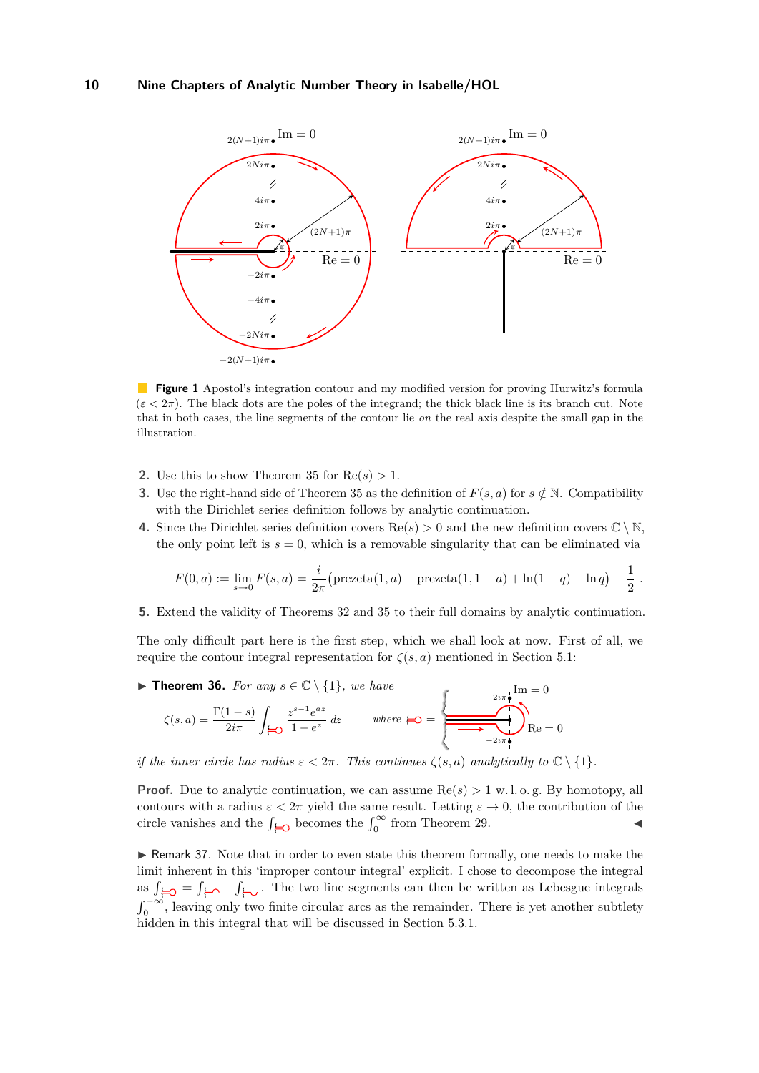<span id="page-9-1"></span>

**Figure 1** Apostol's integration contour and my modified version for proving Hurwitz's formula  $(\varepsilon < 2\pi)$ . The black dots are the poles of the integrand; the thick black line is its branch cut. Note that in both cases, the line segments of the contour lie *on* the real axis despite the small gap in the illustration.

- **2.** Use this to show Theorem [35](#page-8-1) for  $Re(s) > 1$ .
- **3.** Use the right-hand side of Theorem [35](#page-8-1) as the definition of  $F(s, a)$  for  $s \notin \mathbb{N}$ . Compatibility with the Dirichlet series definition follows by analytic continuation.
- **4.** Since the Dirichlet series definition covers  $\text{Re}(s) > 0$  and the new definition covers  $\mathbb{C} \setminus \mathbb{N}$ , the only point left is  $s = 0$ , which is a removable singularity that can be eliminated via

$$
F(0, a) := \lim_{s \to 0} F(s, a) = \frac{i}{2\pi} \left( \text{prezeta}(1, a) - \text{prezeta}(1, 1 - a) + \ln(1 - q) - \ln q \right) - \frac{1}{2}.
$$

**5.** Extend the validity of Theorems [32](#page-8-0) and [35](#page-8-1) to their full domains by analytic continuation.

The only difficult part here is the first step, which we shall look at now. First of all, we require the contour integral representation for  $\zeta(s, a)$  mentioned in Section [5.1:](#page-6-1)

<span id="page-9-0"></span>▶ **Theorem 36.** *For any*  $s \in \mathbb{C} \setminus \{1\}$ *, we have* 

$$
\zeta(s, a) = \frac{\Gamma(1 - s)}{2i\pi} \int_{\square} \frac{z^{s-1}e^{az}}{1 - e^z} dz \qquad \text{where } \square = \boxed{\frac{2i\pi}{\sqrt{\pi}}}^{\text{Im } \square} = 0
$$

*if the inner circle has radius*  $\varepsilon < 2\pi$ *. This continues*  $\zeta(s, a)$  *analytically to*  $\mathbb{C} \setminus \{1\}$ *.* 

**Proof.** Due to analytic continuation, we can assume  $Re(s) > 1$  w.l. o. g. By homotopy, all contours with a radius  $\varepsilon < 2\pi$  yield the same result. Letting  $\varepsilon \to 0$ , the contribution of the circle vanishes and the  $\int_{\Theta}$  becomes the  $\int_{0}^{\infty}$  from Theorem [29.](#page-7-0)

<span id="page-9-2"></span>► Remark 37. Note that in order to even state this theorem formally, one needs to make the limit inherent in this 'improper contour integral' explicit. I chose to decompose the integral as  $\int_{\Box} = \int_{\Box} - \int_{\Box}$ . The two line segments can then be written as Lebesgue integrals  $\int_0^{-\infty}$ , leaving only two finite circular arcs as the remainder. There is yet another subtlety hidden in this integral that will be discussed in Section [5.3.1.](#page-10-0)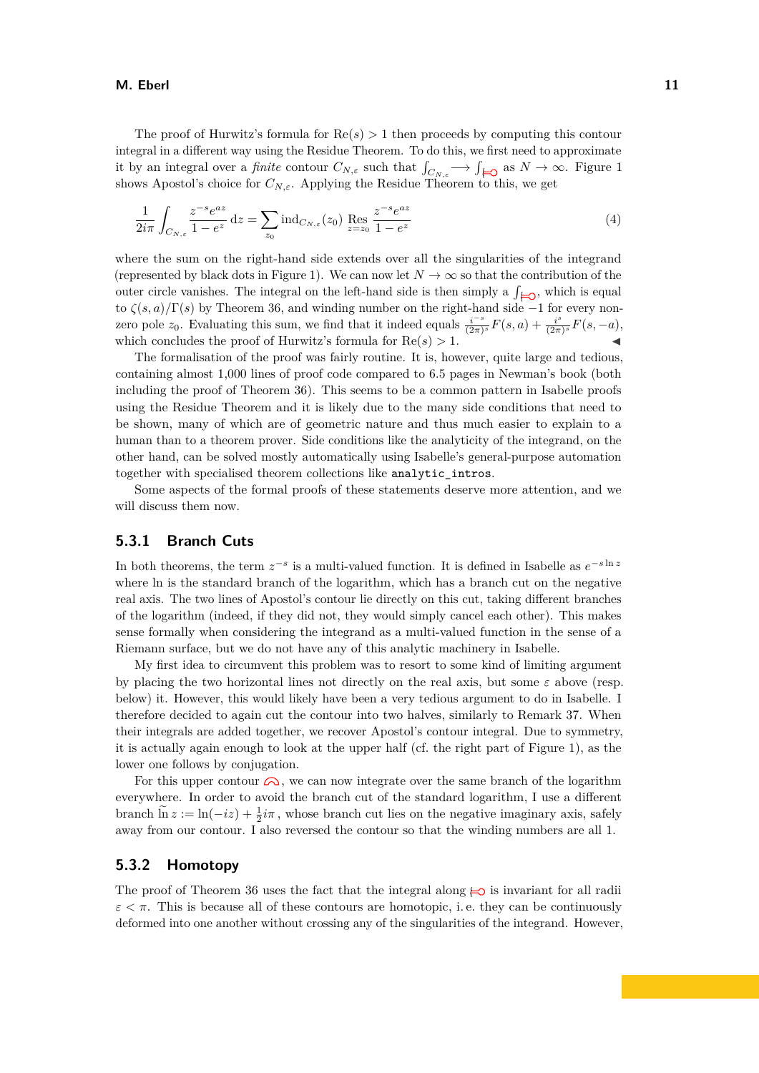The proof of Hurwitz's formula for  $Re(s) > 1$  then proceeds by computing this contour integral in a different way using the Residue Theorem. To do this, we first need to approximate it by an integral over a *finite* contour  $C_{N,\varepsilon}$  such that  $\int_{C_{N,\varepsilon}} \longrightarrow \int_{\mathcal{L}_{\mathcal{O}}}$  as  $N \to \infty$ . Figure [1](#page-9-1) shows Apostol's choice for  $C_{N,\varepsilon}$ . Applying the Residue Theorem to this, we get

<span id="page-10-1"></span>
$$
\frac{1}{2i\pi} \int_{C_{N,\varepsilon}} \frac{z^{-s} e^{az}}{1 - e^z} dz = \sum_{z_0} \text{ind}_{C_{N,\varepsilon}}(z_0) \operatorname{Res}_{z = z_0} \frac{z^{-s} e^{az}}{1 - e^z}
$$
(4)

where the sum on the right-hand side extends over all the singularities of the integrand (represented by black dots in Figure [1\)](#page-9-1). We can now let  $N \to \infty$  so that the contribution of the outer circle vanishes. The integral on the left-hand side is then simply a  $\int_{\mathcal{L}}$ , which is equal to *ζ*(*s, a*)*/*Γ(*s*) by Theorem [36,](#page-9-0) and winding number on the right-hand side −1 for every nonzero pole  $z_0$ . Evaluating this sum, we find that it indeed equals  $\frac{i^{-s}}{(2\pi)}$  $\frac{i^{-s}}{(2\pi)^s}F(s,a)+\frac{i^{s}}{(2\pi)^s}$  $\frac{i^{s}}{(2\pi)^{s}}F(s,-a),$ which concludes the proof of Hurwitz's formula for  $Re(s) > 1$ .

The formalisation of the proof was fairly routine. It is, however, quite large and tedious, containing almost 1,000 lines of proof code compared to 6.5 pages in Newman's book (both including the proof of Theorem [36\)](#page-9-0). This seems to be a common pattern in Isabelle proofs using the Residue Theorem and it is likely due to the many side conditions that need to be shown, many of which are of geometric nature and thus much easier to explain to a human than to a theorem prover. Side conditions like the analyticity of the integrand, on the other hand, can be solved mostly automatically using Isabelle's general-purpose automation together with specialised theorem collections like analytic\_intros.

Some aspects of the formal proofs of these statements deserve more attention, and we will discuss them now.

### <span id="page-10-0"></span>**5.3.1 Branch Cuts**

In both theorems, the term  $z^{-s}$  is a multi-valued function. It is defined in Isabelle as  $e^{-s \ln z}$ where ln is the standard branch of the logarithm, which has a branch cut on the negative real axis. The two lines of Apostol's contour lie directly on this cut, taking different branches of the logarithm (indeed, if they did not, they would simply cancel each other). This makes sense formally when considering the integrand as a multi-valued function in the sense of a Riemann surface, but we do not have any of this analytic machinery in Isabelle.

My first idea to circumvent this problem was to resort to some kind of limiting argument by placing the two horizontal lines not directly on the real axis, but some  $\varepsilon$  above (resp. below) it. However, this would likely have been a very tedious argument to do in Isabelle. I therefore decided to again cut the contour into two halves, similarly to Remark [37.](#page-9-2) When their integrals are added together, we recover Apostol's contour integral. Due to symmetry, it is actually again enough to look at the upper half (cf. the right part of Figure [1\)](#page-9-1), as the lower one follows by conjugation.

For this upper contour  $\bigcirc$ , we can now integrate over the same branch of the logarithm everywhere. In order to avoid the branch cut of the standard logarithm, I use a different branch  $\tilde{\ln} z := \ln(-iz) + \frac{1}{2}i\pi$ , whose branch cut lies on the negative imaginary axis, safely away from our contour. I also reversed the contour so that the winding numbers are all 1.

### **5.3.2 Homotopy**

The proof of Theorem [36](#page-9-0) uses the fact that the integral along  $\Longleftrightarrow$  is invariant for all radii  $\varepsilon < \pi$ . This is because all of these contours are homotopic, i.e. they can be continuously deformed into one another without crossing any of the singularities of the integrand. However,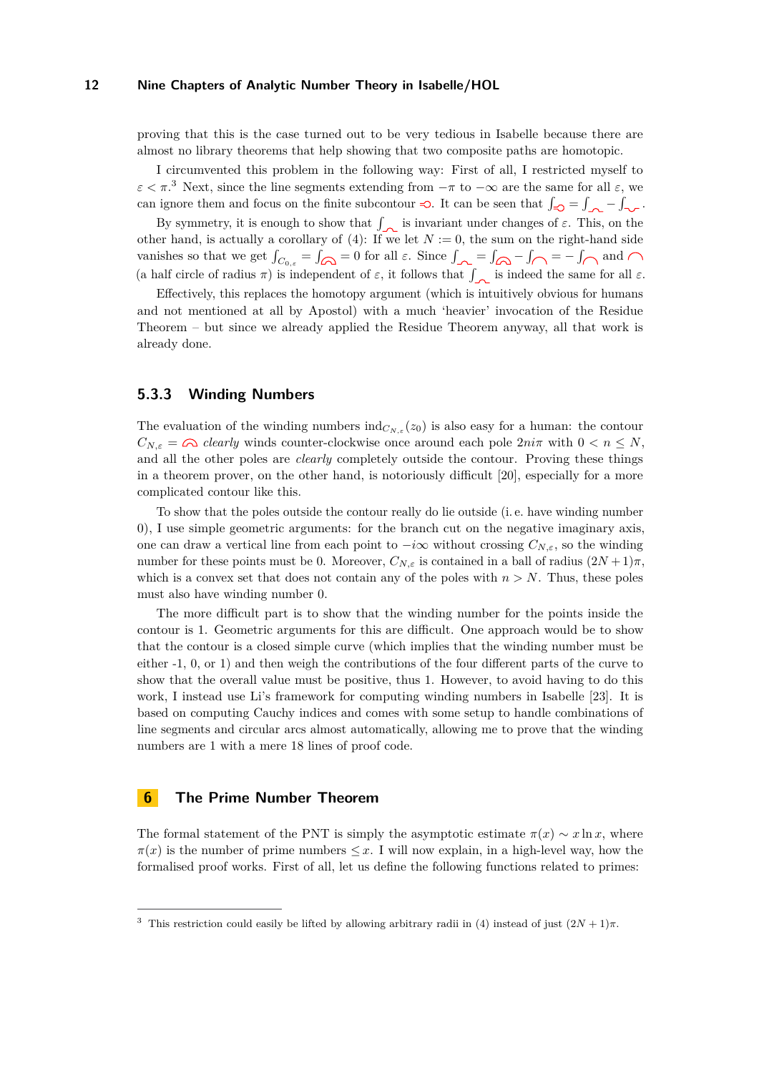proving that this is the case turned out to be very tedious in Isabelle because there are almost no library theorems that help showing that two composite paths are homotopic.

I circumvented this problem in the following way: First of all, I restricted myself to  $\varepsilon < \pi$ <sup>[3](#page-11-1)</sup>. Next, since the line segments extending from  $-\pi$  to  $-\infty$  are the same for all  $\varepsilon$ , we can ignore them and focus on the finite subcontour  $\Rightarrow$ . It can be seen that  $\int_{\mathbb{R}^2} - \int_{\mathbb{R}^2} - \int_{\mathbb{R}^2}$ .

By symmetry, it is enough to show that  $\int_{\infty}$  is invariant under changes of  $\varepsilon$ . This, on the other hand, is actually a corollary of [\(4\)](#page-10-1): If we let  $N := 0$ , the sum on the right-hand side vanishes so that we get  $\int_{C_{0,\varepsilon}} = \int_{\Omega} = 0$  for all  $\varepsilon$ . Since  $\int_{\Omega} = \int_{\Omega} - \int_{\Omega} = -\int_{\Omega}$  and (a half circle of radius  $\pi$ ) is independent of  $\varepsilon$ , it follows that  $\int_{\mathbb{R}^n}$  is indeed the same for all  $\varepsilon$ .

Effectively, this replaces the homotopy argument (which is intuitively obvious for humans and not mentioned at all by Apostol) with a much 'heavier' invocation of the Residue Theorem – but since we already applied the Residue Theorem anyway, all that work is already done.

### **5.3.3 Winding Numbers**

The evaluation of the winding numbers  $\text{ind}_{C_{N,\varepsilon}}(z_0)$  is also easy for a human: the contour  $C_{N,\varepsilon} = \bigcirc$  *clearly* winds counter-clockwise once around each pole  $2ni\pi$  with  $0 < n < N$ , and all the other poles are *clearly* completely outside the contour. Proving these things in a theorem prover, on the other hand, is notoriously difficult [\[20\]](#page-17-10), especially for a more complicated contour like this.

To show that the poles outside the contour really do lie outside (i. e. have winding number 0), I use simple geometric arguments: for the branch cut on the negative imaginary axis, one can draw a vertical line from each point to  $-i\infty$  without crossing  $C_{N,\varepsilon}$ , so the winding number for these points must be 0. Moreover,  $C_{N,\varepsilon}$  is contained in a ball of radius  $(2N+1)\pi$ , which is a convex set that does not contain any of the poles with  $n > N$ . Thus, these poles must also have winding number 0.

The more difficult part is to show that the winding number for the points inside the contour is 1. Geometric arguments for this are difficult. One approach would be to show that the contour is a closed simple curve (which implies that the winding number must be either -1, 0, or 1) and then weigh the contributions of the four different parts of the curve to show that the overall value must be positive, thus 1. However, to avoid having to do this work, I instead use Li's framework for computing winding numbers in Isabelle [\[23\]](#page-18-5). It is based on computing Cauchy indices and comes with some setup to handle combinations of line segments and circular arcs almost automatically, allowing me to prove that the winding numbers are 1 with a mere 18 lines of proof code.

### <span id="page-11-0"></span>**6 The Prime Number Theorem**

The formal statement of the PNT is simply the asymptotic estimate  $\pi(x) \sim x \ln x$ , where  $\pi(x)$  is the number of prime numbers  $\leq x$ . I will now explain, in a high-level way, how the formalised proof works. First of all, let us define the following functions related to primes:

<span id="page-11-1"></span><sup>&</sup>lt;sup>3</sup> This restriction could easily be lifted by allowing arbitrary radii in [\(4\)](#page-10-1) instead of just  $(2N + 1)\pi$ .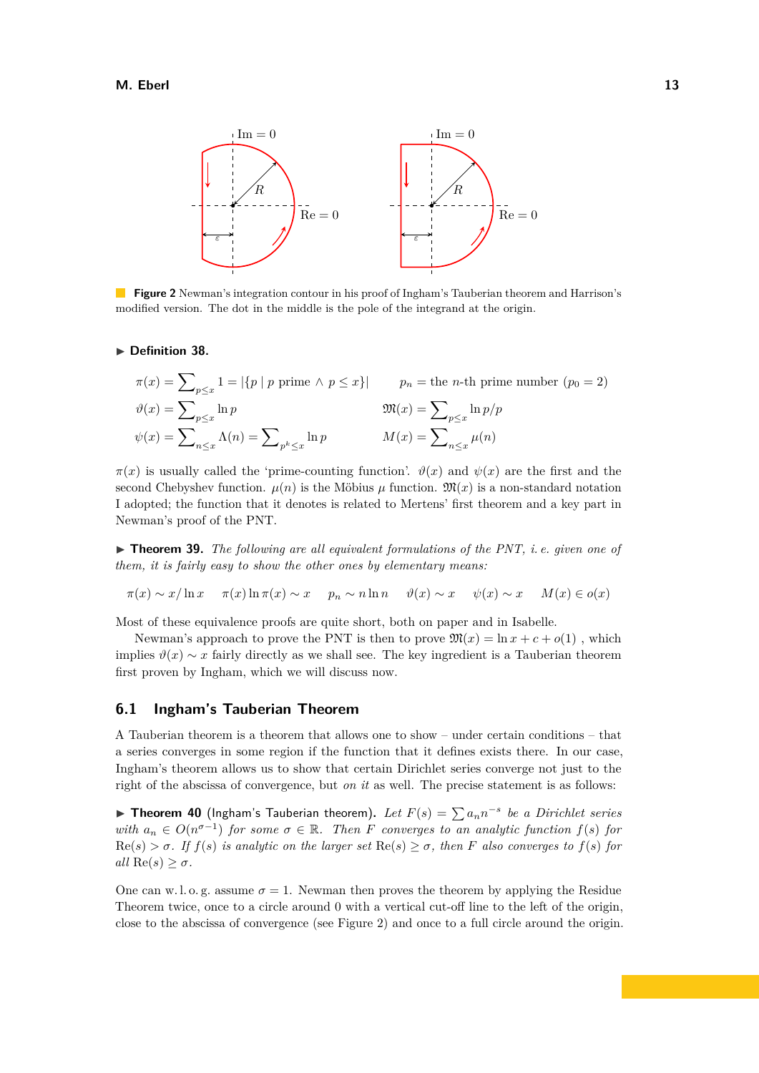<span id="page-12-0"></span>

**Figure 2** Newman's integration contour in his proof of Ingham's Tauberian theorem and Harrison's modified version. The dot in the middle is the pole of the integrand at the origin.

#### ▶ Definition 38.

$$
\pi(x) = \sum_{p \le x} 1 = |\{p \mid p \text{ prime} \land p \le x\}| \qquad p_n = \text{the } n\text{-th prime number } (p_0 = 2)
$$

$$
\vartheta(x) = \sum_{p \le x} \ln p \qquad \qquad \mathfrak{M}(x) = \sum_{p \le x} \ln p/p
$$

$$
\psi(x) = \sum_{n \le x} \Lambda(n) = \sum_{p \le x} \ln p \qquad \qquad M(x) = \sum_{n \le x} \mu(n)
$$

 $\pi(x)$  is usually called the 'prime-counting function'.  $\vartheta(x)$  and  $\psi(x)$  are the first and the second Chebyshev function.  $\mu(n)$  is the Möbius  $\mu$  function.  $\mathfrak{M}(x)$  is a non-standard notation I adopted; the function that it denotes is related to Mertens' first theorem and a key part in Newman's proof of the PNT.

▶ **Theorem 39.** *The following are all equivalent formulations of the PNT, i.e. given one of them, it is fairly easy to show the other ones by elementary means:*

$$
\pi(x) \sim x/\ln x \quad \pi(x)\ln \pi(x) \sim x \quad p_n \sim n \ln n \quad \vartheta(x) \sim x \quad \psi(x) \sim x \quad M(x) \in o(x)
$$

Most of these equivalence proofs are quite short, both on paper and in Isabelle.

Newman's approach to prove the PNT is then to prove  $\mathfrak{M}(x) = \ln x + c + o(1)$ , which implies  $\vartheta(x) \sim x$  fairly directly as we shall see. The key ingredient is a Tauberian theorem first proven by Ingham, which we will discuss now.

### **6.1 Ingham's Tauberian Theorem**

A Tauberian theorem is a theorem that allows one to show – under certain conditions – that a series converges in some region if the function that it defines exists there. In our case, Ingham's theorem allows us to show that certain Dirichlet series converge not just to the right of the abscissa of convergence, but *on it* as well. The precise statement is as follows:

<span id="page-12-1"></span>▶ **Theorem 40** (Ingham's Tauberian theorem). Let  $F(s) = \sum a_n n^{-s}$  be a Dirichlet series *with*  $a_n \in O(n^{\sigma-1})$  *for some*  $\sigma \in \mathbb{R}$ *. Then F converges to an analytic function*  $f(s)$  *for*  $\text{Re}(s) > \sigma$ . If  $f(s)$  is analytic on the larger set  $\text{Re}(s) \geq \sigma$ , then F also converges to  $f(s)$  for  $all \operatorname{Re}(s) \geq \sigma.$ 

One can w.l. o. g. assume  $\sigma = 1$ . Newman then proves the theorem by applying the Residue Theorem twice, once to a circle around 0 with a vertical cut-off line to the left of the origin, close to the abscissa of convergence (see Figure [2\)](#page-12-0) and once to a full circle around the origin.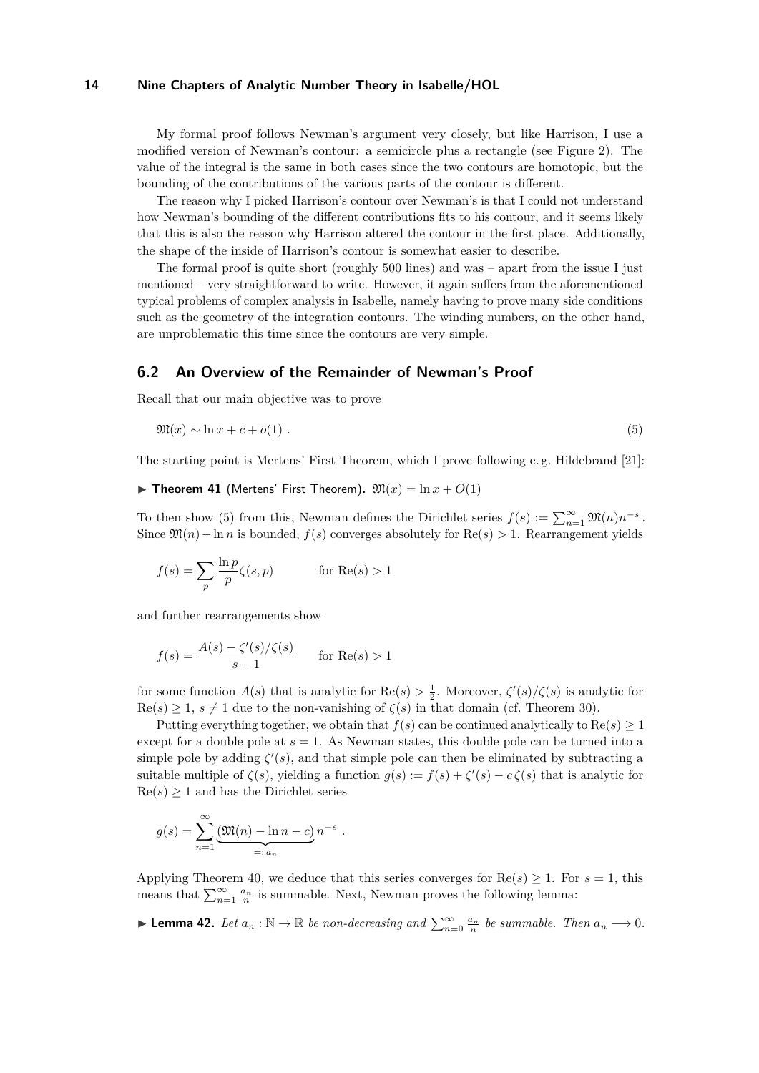My formal proof follows Newman's argument very closely, but like Harrison, I use a modified version of Newman's contour: a semicircle plus a rectangle (see Figure [2\)](#page-12-0). The value of the integral is the same in both cases since the two contours are homotopic, but the bounding of the contributions of the various parts of the contour is different.

The reason why I picked Harrison's contour over Newman's is that I could not understand how Newman's bounding of the different contributions fits to his contour, and it seems likely that this is also the reason why Harrison altered the contour in the first place. Additionally, the shape of the inside of Harrison's contour is somewhat easier to describe.

The formal proof is quite short (roughly 500 lines) and was – apart from the issue I just mentioned – very straightforward to write. However, it again suffers from the aforementioned typical problems of complex analysis in Isabelle, namely having to prove many side conditions such as the geometry of the integration contours. The winding numbers, on the other hand, are unproblematic this time since the contours are very simple.

### **6.2 An Overview of the Remainder of Newman's Proof**

Recall that our main objective was to prove

<span id="page-13-0"></span>
$$
\mathfrak{M}(x) \sim \ln x + c + o(1) \tag{5}
$$

The starting point is Mertens' First Theorem, which I prove following e. g. Hildebrand [\[21\]](#page-17-0):

#### $\triangleright$  **Theorem 41** (Mertens' First Theorem).  $\mathfrak{M}(x) = \ln x + O(1)$

To then show [\(5\)](#page-13-0) from this, Newman defines the Dirichlet series  $f(s) := \sum_{n=1}^{\infty} \mathfrak{M}(n) n^{-s}$ . Since  $\mathfrak{M}(n)$  – ln *n* is bounded,  $f(s)$  converges absolutely for  $\text{Re}(s) > 1$ . Rearrangement yields

$$
f(s) = \sum_{p} \frac{\ln p}{p} \zeta(s, p) \quad \text{for } \text{Re}(s) > 1
$$

and further rearrangements show

$$
f(s) = \frac{A(s) - \zeta'(s)/\zeta(s)}{s - 1} \quad \text{for } \text{Re}(s) > 1
$$

for some function  $A(s)$  that is analytic for  $\text{Re}(s) > \frac{1}{2}$ . Moreover,  $\zeta'(s)/\zeta(s)$  is analytic for  $\text{Re}(s) \geq 1$ ,  $s \neq 1$  due to the non-vanishing of  $\zeta(s)$  in that domain (cf. Theorem [30\)](#page-7-1).

Putting everything together, we obtain that  $f(s)$  can be continued analytically to  $\text{Re}(s) \geq 1$ except for a double pole at  $s = 1$ . As Newman states, this double pole can be turned into a simple pole by adding  $\zeta'(s)$ , and that simple pole can then be eliminated by subtracting a suitable multiple of  $\zeta(s)$ , yielding a function  $g(s) := f(s) + \zeta'(s) - c\zeta(s)$  that is analytic for  $\text{Re}(s) \geq 1$  and has the Dirichlet series

$$
g(s) = \sum_{n=1}^{\infty} \underbrace{(m(n) - \ln n - c)}_{=: a_n} n^{-s} .
$$

Applying Theorem [40,](#page-12-1) we deduce that this series converges for  $\text{Re}(s) \geq 1$ . For  $s = 1$ , this means that  $\sum_{n=1}^{\infty} \frac{a_n}{n}$  is summable. Next, Newman proves the following lemma:

<span id="page-13-1"></span>► **Lemma 42.** *Let*  $a_n : \mathbb{N} \to \mathbb{R}$  *be non-decreasing and*  $\sum_{n=0}^{\infty} \frac{a_n}{n}$  *be summable. Then*  $a_n \to 0$ *.*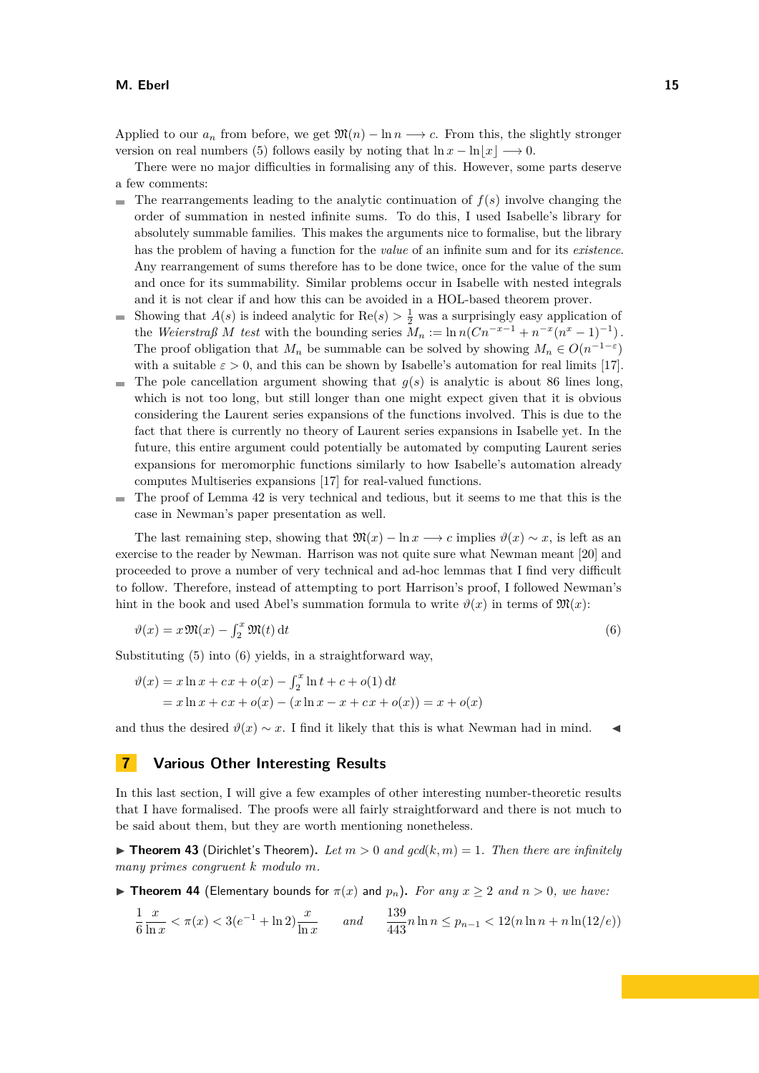Applied to our  $a_n$  from before, we get  $\mathfrak{M}(n) - \ln n \longrightarrow c$ . From this, the slightly stronger version on real numbers [\(5\)](#page-13-0) follows easily by noting that  $\ln x - \ln |x| \longrightarrow 0$ .

There were no major difficulties in formalising any of this. However, some parts deserve a few comments:

- The rearrangements leading to the analytic continuation of  $f(s)$  involve changing the  $\mathbf{r}$ order of summation in nested infinite sums. To do this, I used Isabelle's library for absolutely summable families. This makes the arguments nice to formalise, but the library has the problem of having a function for the *value* of an infinite sum and for its *existence*. Any rearrangement of sums therefore has to be done twice, once for the value of the sum and once for its summability. Similar problems occur in Isabelle with nested integrals and it is not clear if and how this can be avoided in a HOL-based theorem prover.
- Showing that  $A(s)$  is indeed analytic for  $\text{Re}(s) > \frac{1}{2}$  was a surprisingly easy application of ÷. the *Weierstraß M test* with the bounding series  $M_n := \ln n (Cn^{-x-1} + n^{-x}(n^x - 1)^{-1})$ . The proof obligation that  $M_n$  be summable can be solved by showing  $M_n \in O(n^{-1-\epsilon})$ with a suitable  $\varepsilon > 0$ , and this can be shown by Isabelle's automation for real limits [\[17\]](#page-17-18).
- $\blacksquare$  The pole cancellation argument showing that  $g(s)$  is analytic is about 86 lines long, which is not too long, but still longer than one might expect given that it is obvious considering the Laurent series expansions of the functions involved. This is due to the fact that there is currently no theory of Laurent series expansions in Isabelle yet. In the future, this entire argument could potentially be automated by computing Laurent series expansions for meromorphic functions similarly to how Isabelle's automation already computes Multiseries expansions [\[17\]](#page-17-18) for real-valued functions.
- The proof of Lemma [42](#page-13-1) is very technical and tedious, but it seems to me that this is the case in Newman's paper presentation as well.

The last remaining step, showing that  $\mathfrak{M}(x) - \ln x \longrightarrow c$  implies  $\vartheta(x) \sim x$ , is left as an exercise to the reader by Newman. Harrison was not quite sure what Newman meant [\[20\]](#page-17-10) and proceeded to prove a number of very technical and ad-hoc lemmas that I find very difficult to follow. Therefore, instead of attempting to port Harrison's proof, I followed Newman's hint in the book and used Abel's summation formula to write  $\vartheta(x)$  in terms of  $\mathfrak{M}(x)$ :

<span id="page-14-1"></span>
$$
\vartheta(x) = x \mathfrak{M}(x) - \int_2^x \mathfrak{M}(t) dt \tag{6}
$$

Substituting [\(5\)](#page-13-0) into [\(6\)](#page-14-1) yields, in a straightforward way,

$$
\vartheta(x) = x \ln x + cx + o(x) - \int_2^x \ln t + c + o(1) dt
$$
  
=  $x \ln x + cx + o(x) - (x \ln x - x + cx + o(x)) = x + o(x)$ 

and thus the desired  $\vartheta(x) \sim x$ . I find it likely that this is what Newman had in mind.

# <span id="page-14-0"></span>**7 Various Other Interesting Results**

In this last section, I will give a few examples of other interesting number-theoretic results that I have formalised. The proofs were all fairly straightforward and there is not much to be said about them, but they are worth mentioning nonetheless.

 $\triangleright$  **Theorem 43** (Dirichlet's Theorem). Let  $m > 0$  and  $gcd(k, m) = 1$ . Then there are infinitely *many primes congruent k modulo m.*

**► Theorem 44** (Elementary bounds for  $π(x)$  and  $p_n$ ). For any  $x ≥ 2$  and  $n > 0$ , we have:

$$
\frac{1}{6}\frac{x}{\ln x} < \pi(x) < 3(e^{-1} + \ln 2)\frac{x}{\ln x} \qquad \text{and} \qquad \frac{139}{443}n\ln n \le p_{n-1} < 12(n\ln n + n\ln(12/e))
$$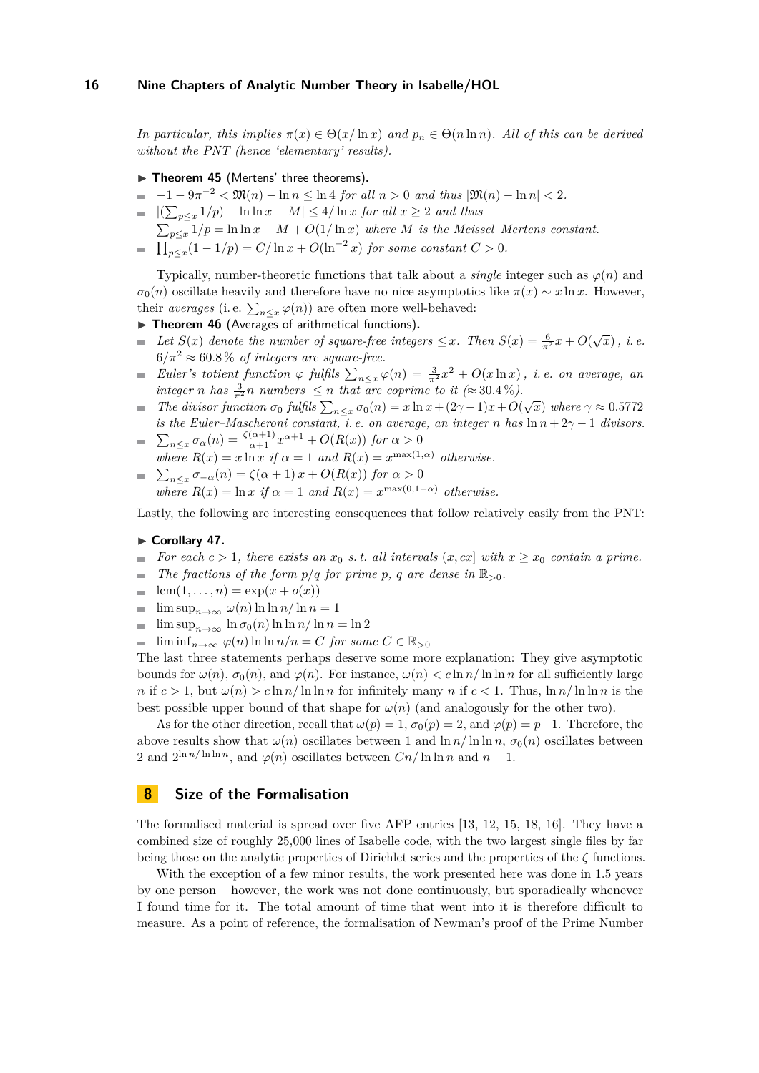*In particular, this implies*  $\pi(x) \in \Theta(x/\ln x)$  *and*  $p_n \in \Theta(n \ln n)$ *. All of this can be derived without the PNT (hence 'elementary' results).*

- ▶ Theorem 45 (Mertens' three theorems).
- $\overline{a}$  $-1 - 9\pi^{-2} < \mathfrak{M}(n) - \ln n \leq \ln 4$  *for all*  $n > 0$  *and thus*  $|\mathfrak{M}(n) - \ln n| < 2$ *.*
- $|(\sum_{p \leq x} 1/p) \ln \ln x M|$  ≤ 4/ln *x for all*  $x ≥ 2$  *and thus*
- $\sum_{p \leq x} 1/p = \ln \ln x + M + O(1/\ln x)$  where *M* is the Meissel–Mertens constant.
- $\prod_{p \leq x} (1 1/p) = C/\ln x + O(\ln^{-2} x)$  *for some constant*  $C > 0$ *.*

Typically, number-theoretic functions that talk about a *single* integer such as *ϕ*(*n*) and  $\sigma_0(n)$  oscillate heavily and therefore have no nice asymptotics like  $\pi(x) \sim x \ln x$ . However, their *averages* (i.e.  $\sum_{n \leq x} \varphi(n)$ ) are often more well-behaved:

- ▶ Theorem 46 (Averages of arithmetical functions).
- *Let S*(*x*) *denote the number of square-free integers*  $\leq$  *x. Then S*(*x*) =  $\frac{6}{\pi^2}$ *x* + *O*( $\sqrt{x}$ )*, i.e.*  $\blacksquare$  $6/\pi^2 \approx 60.8\%$  *of integers are square-free.*
- *Euler's totient function*  $\varphi$  *fulfils*  $\sum_{n \leq x} \varphi(n) = \frac{3}{\pi^2} x^2 + O(x \ln x)$ , *i.e. on average, an*  $\overline{\phantom{a}}$ *integer n has*  $\frac{3}{\pi^2}$ *n numbers*  $\leq$  *n that are coprime to it* (≈ 30*.4* %).
- *The divisor function*  $\sigma_0$  *fulfils*  $\sum_{n \leq x} \sigma_0(n) = x \ln x + (2\gamma 1)x + O(\sqrt{x})$  where  $\gamma \approx 0.5772$  $\blacksquare$ *is the Euler–Mascheroni constant, i.e. on average, an integer n has*  $\ln n + 2\gamma - 1$  *divisors.*  $\sum_{n \leq x} \sigma_{\alpha}(n) = \frac{\zeta(\alpha+1)}{\alpha+1} x^{\alpha+1} + O(R(x))$  *for*  $\alpha > 0$
- *where*  $R(x) = x \ln x$  *if*  $\alpha = 1$  *and*  $R(x) = x^{\max(1,\alpha)}$  *otherwise.*
- $\sum_{n \leq x} \sigma_{-\alpha}(n) = \zeta(\alpha+1)x + O(R(x))$  *for*  $\alpha > 0$ *where*  $R(x) = \ln x$  *if*  $\alpha = 1$  *and*  $R(x) = x^{\max(0,1-\alpha)}$  *otherwise.*

Lastly, the following are interesting consequences that follow relatively easily from the PNT:

#### ► Corollary 47.

- *For each*  $c > 1$ *, there exists an*  $x_0$  *s. t. all intervals*  $(x, cx]$  *with*  $x \ge x_0$  *contain a prime.* m.
- *The fractions of the form*  $p/q$  *<i>for prime p, q are dense in*  $\mathbb{R}_{>0}$ *.*
- $lcm(1,..., n) = exp(x + o(x))$  $\overline{\phantom{a}}$
- $\limsup_{n\to\infty} \omega(n) \ln \ln n / \ln n = 1$  $\blacksquare$
- $\blacksquare$  lim sup<sub>*n*→∞</sub> ln *σ*<sub>0</sub>(*n*) ln ln *n*/ ln *n* = ln 2
- $\blacksquare$  lim inf<sub>n→∞</sub>  $\varphi(n)$  ln ln  $n/n = C$  *for some*  $C \in \mathbb{R}_{>0}$

The last three statements perhaps deserve some more explanation: They give asymptotic bounds for  $\omega(n)$ ,  $\sigma_0(n)$ , and  $\varphi(n)$ . For instance,  $\omega(n) < c \ln n / \ln \ln n$  for all sufficiently large *n* if  $c > 1$ , but  $\omega(n) > c \ln n / \ln \ln n$  for infinitely many *n* if  $c < 1$ . Thus,  $\ln n / \ln \ln n$  is the best possible upper bound of that shape for  $\omega(n)$  (and analogously for the other two).

As for the other direction, recall that  $\omega(p) = 1$ ,  $\sigma_0(p) = 2$ , and  $\varphi(p) = p-1$ . Therefore, the above results show that  $\omega(n)$  oscillates between 1 and  $\ln n/\ln \ln n$ ,  $\sigma_0(n)$  oscillates between 2 and  $2^{\ln n/\ln \ln n}$ , and  $\varphi(n)$  oscillates between  $C_n/\ln \ln n$  and  $n-1$ .

# <span id="page-15-0"></span>**8 Size of the Formalisation**

The formalised material is spread over five AFP entries [\[13,](#page-17-1) [12,](#page-17-2) [15,](#page-17-3) [18,](#page-17-4) [16\]](#page-17-5). They have a combined size of roughly 25,000 lines of Isabelle code, with the two largest single files by far being those on the analytic properties of Dirichlet series and the properties of the *ζ* functions.

With the exception of a few minor results, the work presented here was done in 1.5 years by one person – however, the work was not done continuously, but sporadically whenever I found time for it. The total amount of time that went into it is therefore difficult to measure. As a point of reference, the formalisation of Newman's proof of the Prime Number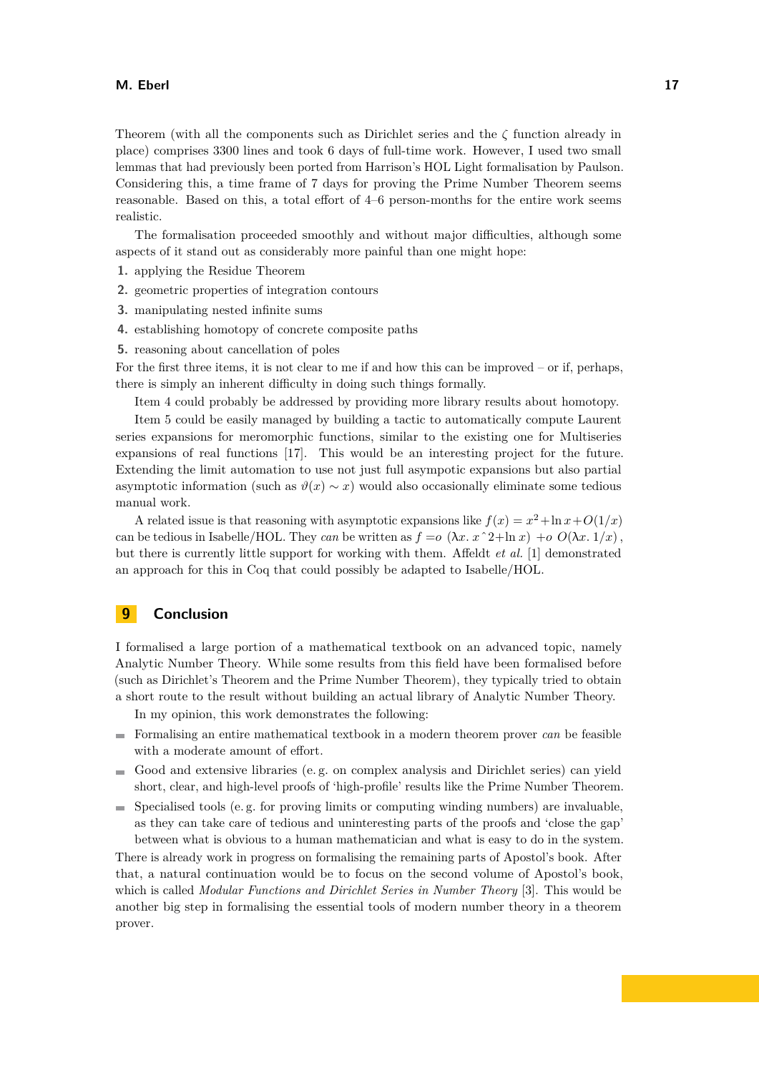Theorem (with all the components such as Dirichlet series and the *ζ* function already in place) comprises 3300 lines and took 6 days of full-time work. However, I used two small lemmas that had previously been ported from Harrison's HOL Light formalisation by Paulson. Considering this, a time frame of 7 days for proving the Prime Number Theorem seems reasonable. Based on this, a total effort of 4–6 person-months for the entire work seems realistic.

The formalisation proceeded smoothly and without major difficulties, although some aspects of it stand out as considerably more painful than one might hope:

- **1.** applying the Residue Theorem
- **2.** geometric properties of integration contours
- **3.** manipulating nested infinite sums
- **4.** establishing homotopy of concrete composite paths
- **5.** reasoning about cancellation of poles

For the first three items, it is not clear to me if and how this can be improved – or if, perhaps, there is simply an inherent difficulty in doing such things formally.

Item 4 could probably be addressed by providing more library results about homotopy.

Item 5 could be easily managed by building a tactic to automatically compute Laurent series expansions for meromorphic functions, similar to the existing one for Multiseries expansions of real functions [\[17\]](#page-17-18). This would be an interesting project for the future. Extending the limit automation to use not just full asympotic expansions but also partial asymptotic information (such as  $\vartheta(x) \sim x$ ) would also occasionally eliminate some tedious manual work.

A related issue is that reasoning with asymptotic expansions like  $f(x) = x^2 + \ln x + O(1/x)$ can be tedious in Isabelle/HOL. They can be written as  $f = o(\lambda x. x^2 + \ln x) + o(0\lambda x. 1/x)$ . but there is currently little support for working with them. Affeldt *et al.* [\[1\]](#page-17-19) demonstrated an approach for this in Coq that could possibly be adapted to Isabelle/HOL.

# <span id="page-16-0"></span>**9 Conclusion**

I formalised a large portion of a mathematical textbook on an advanced topic, namely Analytic Number Theory. While some results from this field have been formalised before (such as Dirichlet's Theorem and the Prime Number Theorem), they typically tried to obtain a short route to the result without building an actual library of Analytic Number Theory.

In my opinion, this work demonstrates the following:

- Formalising an entire mathematical textbook in a modern theorem prover *can* be feasible with a moderate amount of effort.
- Good and extensive libraries (e. g. on complex analysis and Dirichlet series) can yield short, clear, and high-level proofs of 'high-profile' results like the Prime Number Theorem.
- $\blacksquare$  Specialised tools (e.g. for proving limits or computing winding numbers) are invaluable, as they can take care of tedious and uninteresting parts of the proofs and 'close the gap' between what is obvious to a human mathematician and what is easy to do in the system.

There is already work in progress on formalising the remaining parts of Apostol's book. After that, a natural continuation would be to focus on the second volume of Apostol's book, which is called *Modular Functions and Dirichlet Series in Number Theory* [\[3\]](#page-17-20). This would be another big step in formalising the essential tools of modern number theory in a theorem prover.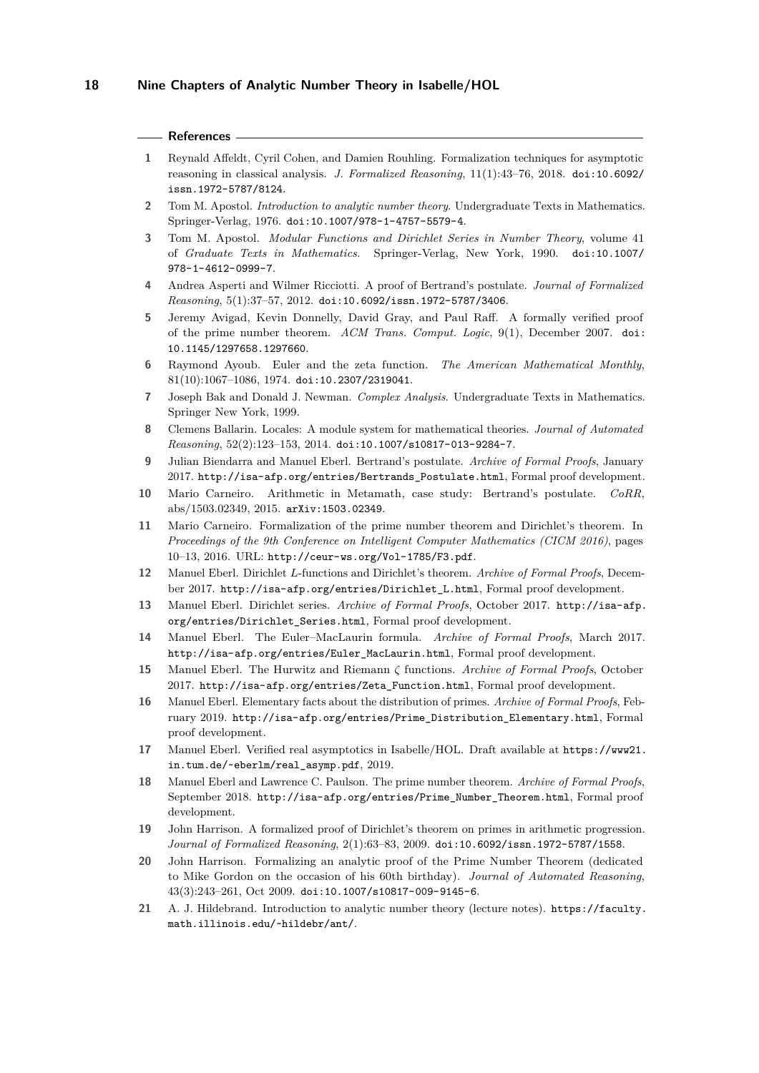#### **References**

- <span id="page-17-19"></span>**1** Reynald Affeldt, Cyril Cohen, and Damien Rouhling. Formalization techniques for asymptotic reasoning in classical analysis. *J. Formalized Reasoning*, 11(1):43–76, 2018. [doi:10.6092/](http://dx.doi.org/10.6092/issn.1972-5787/8124) [issn.1972-5787/8124](http://dx.doi.org/10.6092/issn.1972-5787/8124).
- <span id="page-17-6"></span>**2** Tom M. Apostol. *Introduction to analytic number theory*. Undergraduate Texts in Mathematics. Springer-Verlag, 1976. [doi:10.1007/978-1-4757-5579-4](http://dx.doi.org/10.1007/978-1-4757-5579-4).
- <span id="page-17-20"></span>**3** Tom M. Apostol. *Modular Functions and Dirichlet Series in Number Theory*, volume 41 of *Graduate Texts in Mathematics*. Springer-Verlag, New York, 1990. [doi:10.1007/](http://dx.doi.org/10.1007/978-1-4612-0999-7) [978-1-4612-0999-7](http://dx.doi.org/10.1007/978-1-4612-0999-7).
- <span id="page-17-13"></span>**4** Andrea Asperti and Wilmer Ricciotti. A proof of Bertrand's postulate. *Journal of Formalized Reasoning*, 5(1):37–57, 2012. [doi:10.6092/issn.1972-5787/3406](http://dx.doi.org/10.6092/issn.1972-5787/3406).
- <span id="page-17-8"></span>**5** Jeremy Avigad, Kevin Donnelly, David Gray, and Paul Raff. A formally verified proof of the prime number theorem. *ACM Trans. Comput. Logic*, 9(1), December 2007. [doi:](http://dx.doi.org/10.1145/1297658.1297660) [10.1145/1297658.1297660](http://dx.doi.org/10.1145/1297658.1297660).
- <span id="page-17-15"></span>**6** Raymond Ayoub. Euler and the zeta function. *The American Mathematical Monthly*, 81(10):1067–1086, 1974. [doi:10.2307/2319041](http://dx.doi.org/10.2307/2319041).
- <span id="page-17-7"></span>**7** Joseph Bak and Donald J. Newman. *Complex Analysis*. Undergraduate Texts in Mathematics. Springer New York, 1999.
- <span id="page-17-16"></span>**8** Clemens Ballarin. Locales: A module system for mathematical theories. *Journal of Automated Reasoning*, 52(2):123–153, 2014. [doi:10.1007/s10817-013-9284-7](http://dx.doi.org/10.1007/s10817-013-9284-7).
- <span id="page-17-14"></span>**9** Julian Biendarra and Manuel Eberl. Bertrand's postulate. *Archive of Formal Proofs*, January 2017. [http://isa-afp.org/entries/Bertrands\\_Postulate.html](http://isa-afp.org/entries/Bertrands_Postulate.html), Formal proof development.
- <span id="page-17-12"></span>**10** Mario Carneiro. Arithmetic in Metamath, case study: Bertrand's postulate. *CoRR*, abs/1503.02349, 2015. [arXiv:1503.02349](http://arxiv.org/abs/1503.02349).
- <span id="page-17-9"></span>**11** Mario Carneiro. Formalization of the prime number theorem and Dirichlet's theorem. In *Proceedings of the 9th Conference on Intelligent Computer Mathematics (CICM 2016)*, pages 10–13, 2016. URL: <http://ceur-ws.org/Vol-1785/F3.pdf>.
- <span id="page-17-2"></span>**12** Manuel Eberl. Dirichlet *L*-functions and Dirichlet's theorem. *Archive of Formal Proofs*, December 2017. [http://isa-afp.org/entries/Dirichlet\\_L.html](http://isa-afp.org/entries/Dirichlet_L.html), Formal proof development.
- <span id="page-17-1"></span>**13** Manuel Eberl. Dirichlet series. *Archive of Formal Proofs*, October 2017. [http://isa-afp.](http://isa-afp.org/entries/Dirichlet_Series.html) [org/entries/Dirichlet\\_Series.html](http://isa-afp.org/entries/Dirichlet_Series.html), Formal proof development.
- <span id="page-17-17"></span>**14** Manuel Eberl. The Euler–MacLaurin formula. *Archive of Formal Proofs*, March 2017. [http://isa-afp.org/entries/Euler\\_MacLaurin.html](http://isa-afp.org/entries/Euler_MacLaurin.html), Formal proof development.
- <span id="page-17-3"></span>**15** Manuel Eberl. The Hurwitz and Riemann *ζ* functions. *Archive of Formal Proofs*, October 2017. [http://isa-afp.org/entries/Zeta\\_Function.html](http://isa-afp.org/entries/Zeta_Function.html), Formal proof development.
- <span id="page-17-5"></span>**16** Manuel Eberl. Elementary facts about the distribution of primes. *Archive of Formal Proofs*, February 2019. [http://isa-afp.org/entries/Prime\\_Distribution\\_Elementary.html](http://isa-afp.org/entries/Prime_Distribution_Elementary.html), Formal proof development.
- <span id="page-17-18"></span>**17** Manuel Eberl. Verified real asymptotics in Isabelle/HOL. Draft available at [https://www21.](https://www21.in.tum.de/~eberlm/real_asymp.pdf) [in.tum.de/~eberlm/real\\_asymp.pdf](https://www21.in.tum.de/~eberlm/real_asymp.pdf), 2019.
- <span id="page-17-4"></span>**18** Manuel Eberl and Lawrence C. Paulson. The prime number theorem. *Archive of Formal Proofs*, September 2018. [http://isa-afp.org/entries/Prime\\_Number\\_Theorem.html](http://isa-afp.org/entries/Prime_Number_Theorem.html), Formal proof development.
- <span id="page-17-11"></span>19 John Harrison. A formalized proof of Dirichlet's theorem on primes in arithmetic progression. *Journal of Formalized Reasoning*, 2(1):63–83, 2009. [doi:10.6092/issn.1972-5787/1558](http://dx.doi.org/10.6092/issn.1972-5787/1558).
- <span id="page-17-10"></span>**20** John Harrison. Formalizing an analytic proof of the Prime Number Theorem (dedicated to Mike Gordon on the occasion of his 60th birthday). *Journal of Automated Reasoning*, 43(3):243–261, Oct 2009. [doi:10.1007/s10817-009-9145-6](http://dx.doi.org/10.1007/s10817-009-9145-6).
- <span id="page-17-0"></span>**21** A. J. Hildebrand. Introduction to analytic number theory (lecture notes). [https://faculty.](https://faculty.math.illinois.edu/~hildebr/ant/) [math.illinois.edu/~hildebr/ant/](https://faculty.math.illinois.edu/~hildebr/ant/).